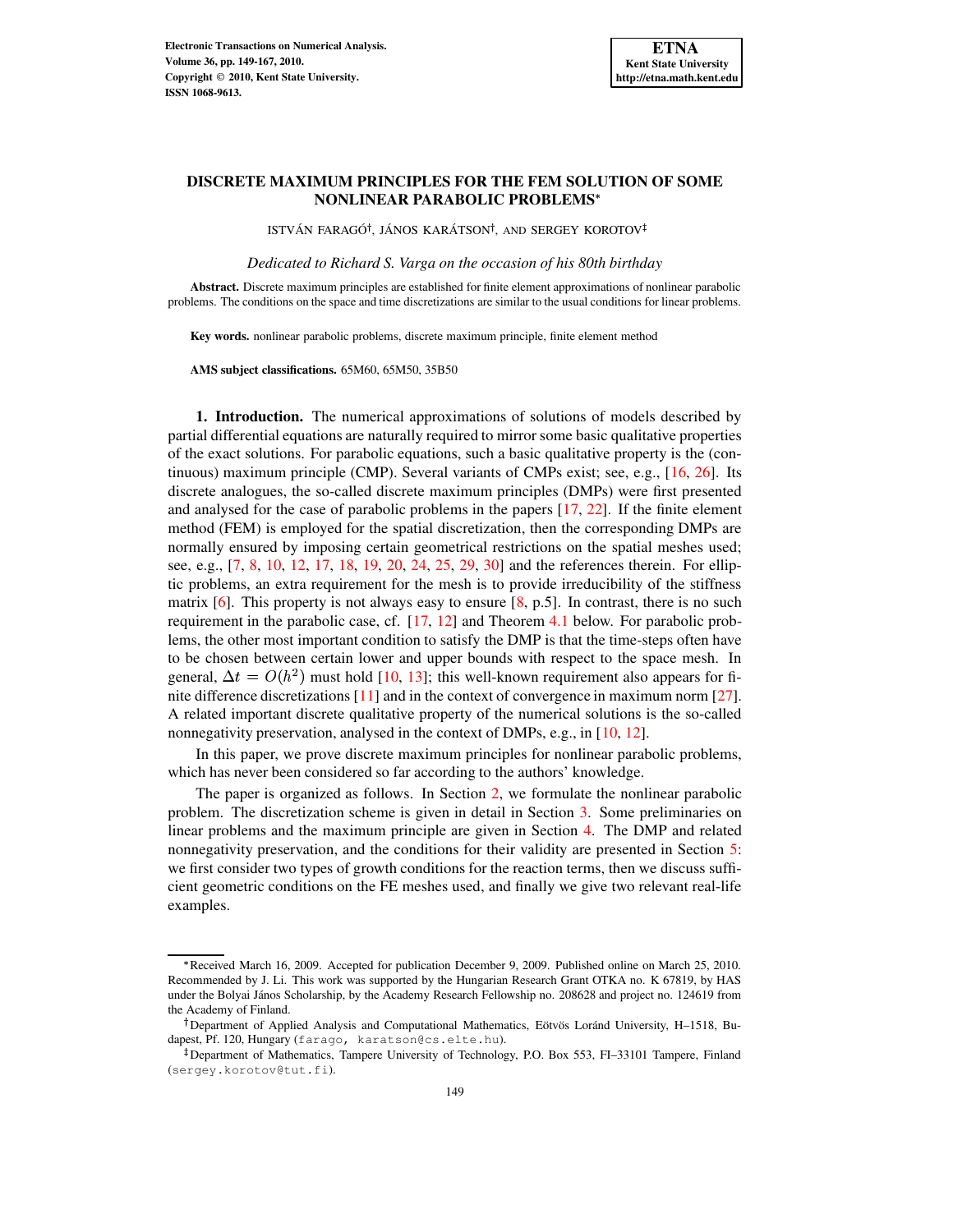# **DISCRETE MAXIMUM PRINCIPLES FOR THE FEM SOLUTION OF SOME NONLINEAR PARABOLIC PROBLEMS**

ISTVÁN FARAGÓ<sup>†</sup>, JÁNOS KARÁTSON<sup>†</sup>, AND SERGEY KOROTOV

*Dedicated to Richard S. Varga on the occasion of his 80th birthday*

**Abstract.** Discrete maximum principles are established for finite element approximations of nonlinear parabolic problems. The conditions on the space and time discretizations are similar to the usual conditions for linear problems.

**Key words.** nonlinear parabolic problems, discrete maximum principle, finite element method

**AMS subject classifications.** 65M60, 65M50, 35B50

**1. Introduction.** The numerical approximations of solutions of models described by partial differential equations are naturally required to mirror some basic qualitative properties of the exact solutions. For parabolic equations, such a basic qualitative property is the (continuous) maximum principle (CMP). Several variants of CMPs exist; see, e.g., [\[16,](#page-18-0) [26\]](#page-18-1). Its discrete analogues, the so-called discrete maximum principles (DMPs) were first presented and analysed for the case of parabolic problems in the papers [\[17,](#page-18-2) [22\]](#page-18-3). If the finite element method (FEM) is employed for the spatial discretization, then the corresponding DMPs are normally ensured by imposing certain geometrical restrictions on the spatial meshes used; see, e.g., [\[7,](#page-18-4) [8,](#page-18-5) [10,](#page-18-6) [12,](#page-18-7) [17,](#page-18-2) [18,](#page-18-8) [19,](#page-18-9) [20,](#page-18-10) [24,](#page-18-11) [25,](#page-18-12) [29,](#page-18-13) [30\]](#page-18-14) and the references therein. For elliptic problems, an extra requirement for the mesh is to provide irreducibility of the stiffness matrix  $[6]$ . This property is not always easy to ensure  $[8, p.5]$  $[8, p.5]$ . In contrast, there is no such requirement in the parabolic case, cf. [\[17,](#page-18-2) [12\]](#page-18-7) and Theorem [4.1](#page-5-0) below. For parabolic problems, the other most important condition to satisfy the DMP is that the time-steps often have to be chosen between certain lower and upper bounds with respect to the space mesh. In general,  $\Delta t = O(h^2)$  must hold [\[10,](#page-18-6) [13\]](#page-18-15); this well-known requirement also appears for finite difference discretizations [\[11\]](#page-18-16) and in the context of convergence in maximum norm [\[27\]](#page-18-17). A related important discrete qualitative property of the numerical solutions is the so-called nonnegativity preservation, analysed in the context of DMPs, e.g., in [\[10,](#page-18-6) [12\]](#page-18-7).

In this paper, we prove discrete maximum principles for nonlinear parabolic problems, which has never been considered so far according to the authors' knowledge.

The paper is organized as follows. In Section [2,](#page-0-0) we formulate the nonlinear parabolic problem. The discretization scheme is given in detail in Section [3.](#page-2-0) Some preliminaries on linear problems and the maximum principle are given in Section [4.](#page-4-0) The DMP and related nonnegativity preservation, and the conditions for their validity are presented in Section [5:](#page-6-0) we first consider two types of growth conditions for the reaction terms, then we discuss sufficient geometric conditions on the FE meshes used, and finally we give two relevant real-life examples.

<span id="page-0-0"></span>Received March 16, 2009. Accepted for publication December 9, 2009. Published online on March 25, 2010. Recommended by J. Li. This work was supported by the Hungarian Research Grant OTKA no. K 67819, by HAS under the Bolyai János Scholarship, by the Academy Research Fellowship no. 208628 and project no. 124619 from the Academy of Finland.

<sup>&</sup>lt;sup>†</sup>Department of Applied Analysis and Computational Mathematics, Eötvös Loránd University, H–1518, Budapest, Pf. 120, Hungary (farago, karatson@cs.elte.hu).

<sup>-</sup> Department of Mathematics, Tampere University of Technology, P.O. Box 553, FI–33101 Tampere, Finland (sergey.korotov@tut.fi).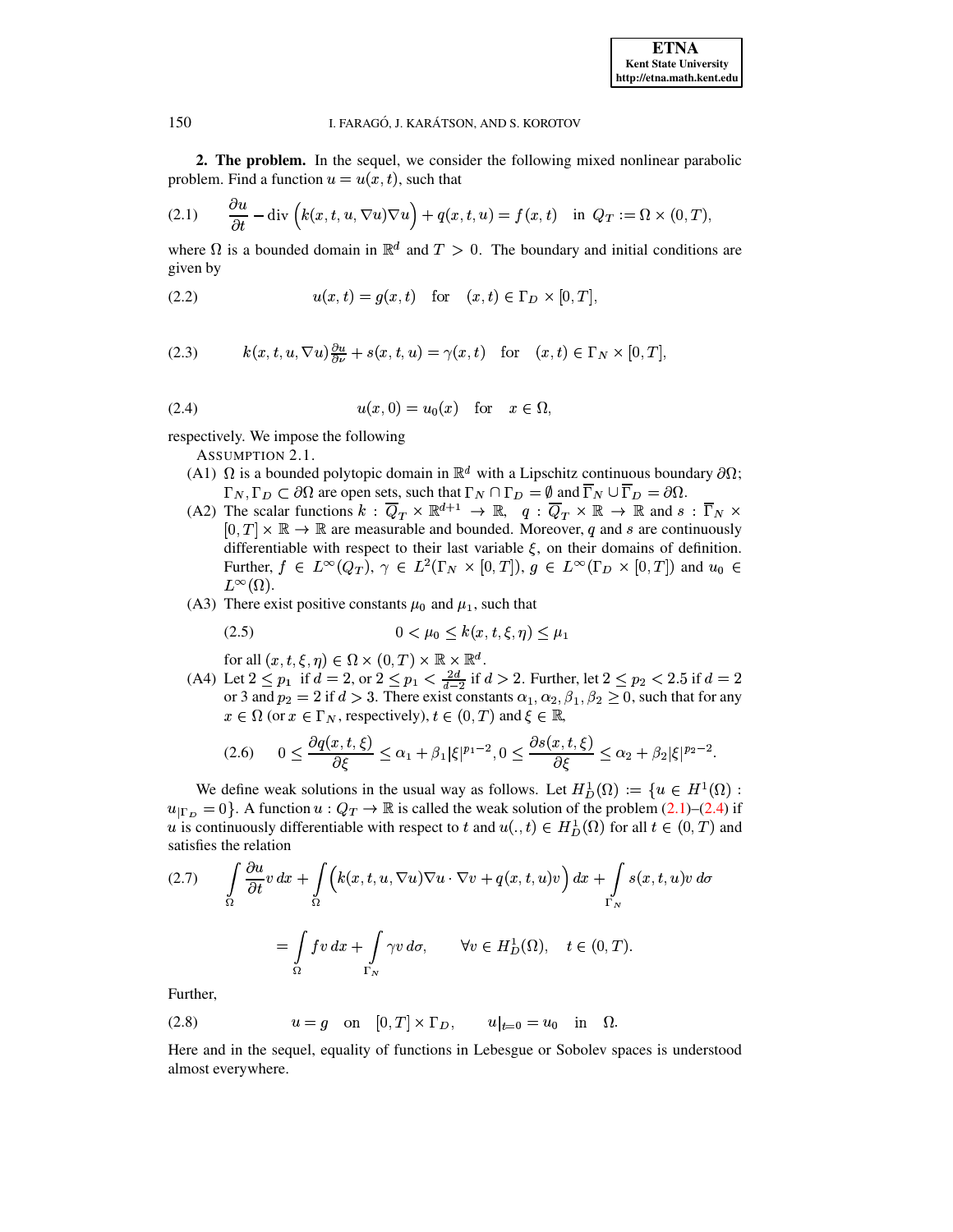<span id="page-1-0"></span>**2. The problem.** In the sequel, we consider the following mixed nonlinear parabolic problem. Find a function  $u = u(x, t)$ , such that

(2.1) 
$$
\frac{\partial u}{\partial t} - \text{div}\left(k(x, t, u, \nabla u)\nabla u\right) + q(x, t, u) = f(x, t) \text{ in } Q_T := \Omega \times (0, T),
$$

where  $\Omega$  is a bounded domain in  $\mathbb{R}^d$  and  $T > 0$ . The boundary and initial conditions are given by

<span id="page-1-5"></span>(2.2) 
$$
u(x,t) = g(x,t)
$$
 for  $(x,t) \in \Gamma_D \times [0,T],$ 

<span id="page-1-1"></span>(2.3) 
$$
k(x, t, u, \nabla u)\frac{\partial u}{\partial \nu} + s(x, t, u) = \gamma(x, t) \text{ for } (x, t) \in \Gamma_N \times [0, T],
$$

$$
(2.4) \t\t u(x,0) = u_0(x) \tfor x \in \Omega,
$$

<span id="page-1-4"></span>respectively. We impose the following

ASSUMPTION 2.1.

- (A1)  $\Omega$  is a bounded polytopic domain in  $\mathbb{R}^d$  with a Lipschitz continuous boundary  $\partial\Omega$ ;  $\Gamma_N, \Gamma_D \subset \partial\Omega$  are open sets, such that  $\Gamma_N \cap \Gamma_D = \emptyset$  and  $\Gamma_N \cup \Gamma_D = \partial\Omega$ .
- (A2) The scalar functions  $k: Q_T \times \mathbb{R}^{d+1} \to \mathbb{R}$ ,  $q: Q_T \times \mathbb{R} \to \mathbb{R}$  and  $s: \Gamma_N \times$  $[0,T] \times \mathbb{R} \to \mathbb{R}$  are measurable and bounded. Moreover, q and s are continuously differentiable with respect to their last variable  $\xi$ , on their domains of definition. Further,  $f \in L^{\infty}(Q_T)$ ,  $\gamma \in L^2(\Gamma_N \times [0,T])$ ,  $g \in L^{\infty}(\Gamma_D \times [0,T])$  and  $u_0 \in$  $L^{\infty}(\Omega)$ .
- (A3) There exist positive constants  $\mu_0$  and  $\mu_1$ , such that

<span id="page-1-7"></span>
$$
(2.5) \t\t 0 < \mu_0 \le k(x, t, \xi, \eta) \le \mu_1
$$

for all  $(x, t, \xi, \eta) \in \Omega \times (0, T) \times \mathbb{R} \times \mathbb{R}^d$ .

(A4) Let  $2 \le p_1$  if  $d = 2$ , or  $2 \le p_1 < \frac{2d}{d-2}$  if  $d > 2$ . Further, let  $2 \le p_2 < 2.5$  if  $d = 2$ or 3 and  $p_2 = 2$  if  $d > 3$ . There exist constants  $\alpha_1, \alpha_2, \beta_1, \beta_2 \ge 0$ , such that for any  $x \in \Omega$  (or  $x \in \Gamma_N$ , respectively),  $t \in (0, T)$  and  $\xi \in \mathbb{R}$ ,

<span id="page-1-6"></span>
$$
(2.6) \qquad 0 \le \frac{\partial q(x,t,\xi)}{\partial \xi} \le \alpha_1 + \beta_1 |\xi|^{p_1-2}, 0 \le \frac{\partial s(x,t,\xi)}{\partial \xi} \le \alpha_2 + \beta_2 |\xi|^{p_2-2}.
$$

We define weak solutions in the usual way as follows. Let  $H_D^1(\Omega) := \{u \in H^1(\Omega) :$  $u_{\Gamma_D} = 0$ . A function  $u: Q_T \to \mathbb{R}$  is called the weak solution of the problem [\(2.1\)](#page-1-0)–[\(2.4\)](#page-1-1) if u is continuously differentiable with respect to t and  $u(.,t) \in H_D^1(\Omega)$  for all  $t \in (0,T)$  and satisfies the relation

<span id="page-1-2"></span>
$$
(2.7) \qquad \int_{\Omega} \frac{\partial u}{\partial t} v \, dx + \int_{\Omega} \left( k(x, t, u, \nabla u) \nabla u \cdot \nabla v + q(x, t, u) v \right) dx + \int_{\Gamma_N} s(x, t, u) v \, d\sigma
$$

$$
= \int_{\Omega} f v \, dx + \int_{\Gamma_N} \gamma v \, d\sigma, \qquad \forall v \in H_D^1(\Omega), \quad t \in (0, T).
$$

<span id="page-1-3"></span>Further,

(2.8) 
$$
u = g
$$
 on  $[0, T] \times \Gamma_D$ ,  $u|_{t=0} = u_0$  in  $\Omega$ .

Here and in the sequel, equality of functions in Lebesgue or Sobolev spaces is understood almost everywhere.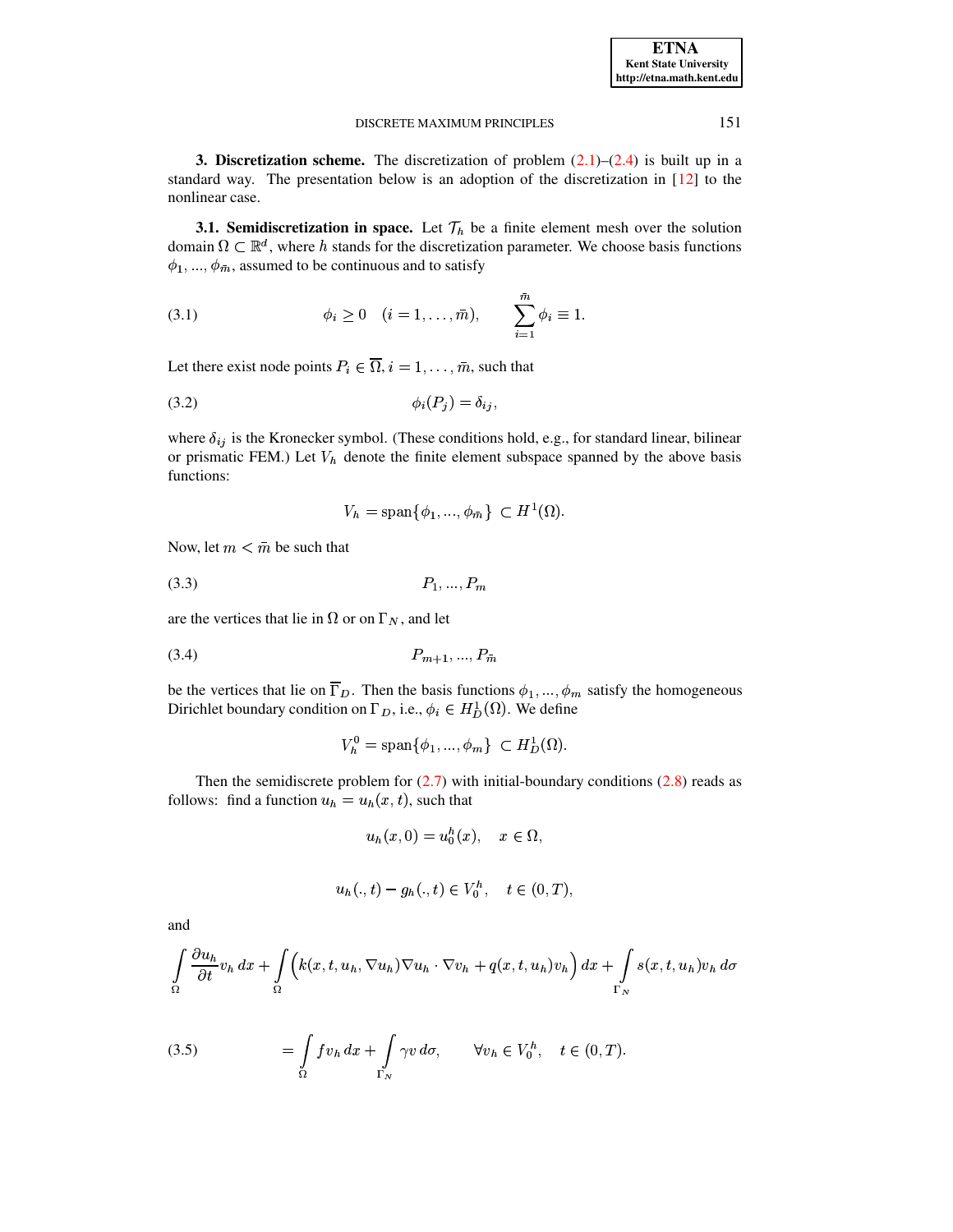<span id="page-2-0"></span>**3. Discretization scheme.** The discretization of problem  $(2.1)$ – $(2.4)$  is built up in a standard way. The presentation below is an adoption of the discretization in  $[12]$  to the nonlinear case.

<span id="page-2-2"></span>**3.1. Semidiscretization in space.** Let  $\mathcal{T}_h$  be a finite element mesh over the solution domain  $\Omega \subset \mathbb{R}^d$ , where h stands for the discretization parameter. We choose basis functions  $\phi_1, ..., \phi_{\bar{m}}$ , assumed to be continuous and to satisfy

(3.1) 
$$
\phi_i \ge 0 \quad (i = 1, ..., \bar{m}), \qquad \sum_{i=1}^m \phi_i \equiv 1.
$$

Let there exist node points  $P_i \in \overline{\Omega}$ ,  $i = 1, \dots, \overline{m}$ , such that

$$
\phi_i(P_j) = \delta_{ij},
$$

where  $\delta_{ij}$  is the Kronecker symbol. (These conditions hold, e.g., for standard linear, bilinear or prismatic FEM.) Let  $V<sub>h</sub>$  denote the finite element subspace spanned by the above basis functions:

<span id="page-2-3"></span>
$$
V_h = \text{span}\{\phi_1, ..., \phi_{\bar{m}}\} \subset H^1(\Omega).
$$

<span id="page-2-4"></span>Now, let  $m < \bar{m}$  be such that

$$
(3.3) \t P_1, ..., P_n
$$

are the vertices that lie in  $\Omega$  or on  $\Gamma_N$ , and let

$$
(3.4) \t\t P_{m+1}, ..., P_{\bar{m}}
$$

be the vertices that lie on  $\overline{\Gamma}_D$ . Then the basis functions  $\phi_1, ..., \phi_m$  satisfy the homogeneous Dirichlet boundary condition on  $\Gamma_D$ , i.e.,  $\phi_i \in H_D^1(\Omega)$ . We define

$$
V_h^0 = \text{span}\{\phi_1, ..., \phi_m\} \subset H_D^1(\Omega).
$$

Then the semidiscrete problem for  $(2.7)$  with initial-boundary conditions  $(2.8)$  reads as follows: find a function  $u_h = u_h(x, t)$ , such that

$$
u_h(x,0) = u_0^h(x), \quad x \in \Omega,
$$

$$
u_h(.,t) - g_h(.,t) \in V_0^h, \quad t \in (0,T),
$$

and

$$
\int_{\Omega} \frac{\partial u_h}{\partial t} v_h \, dx + \int_{\Omega} \left( k(x, t, u_h, \nabla u_h) \nabla u_h \cdot \nabla v_h + q(x, t, u_h) v_h \right) dx + \int_{\Gamma_N} s(x, t, u_h) v_h \, d\sigma
$$

<span id="page-2-1"></span>(3.5) 
$$
= \int_{\Omega} f v_h dx + \int_{\Gamma_N} \gamma v d\sigma, \qquad \forall v_h \in V_0^h, \quad t \in (0, T)
$$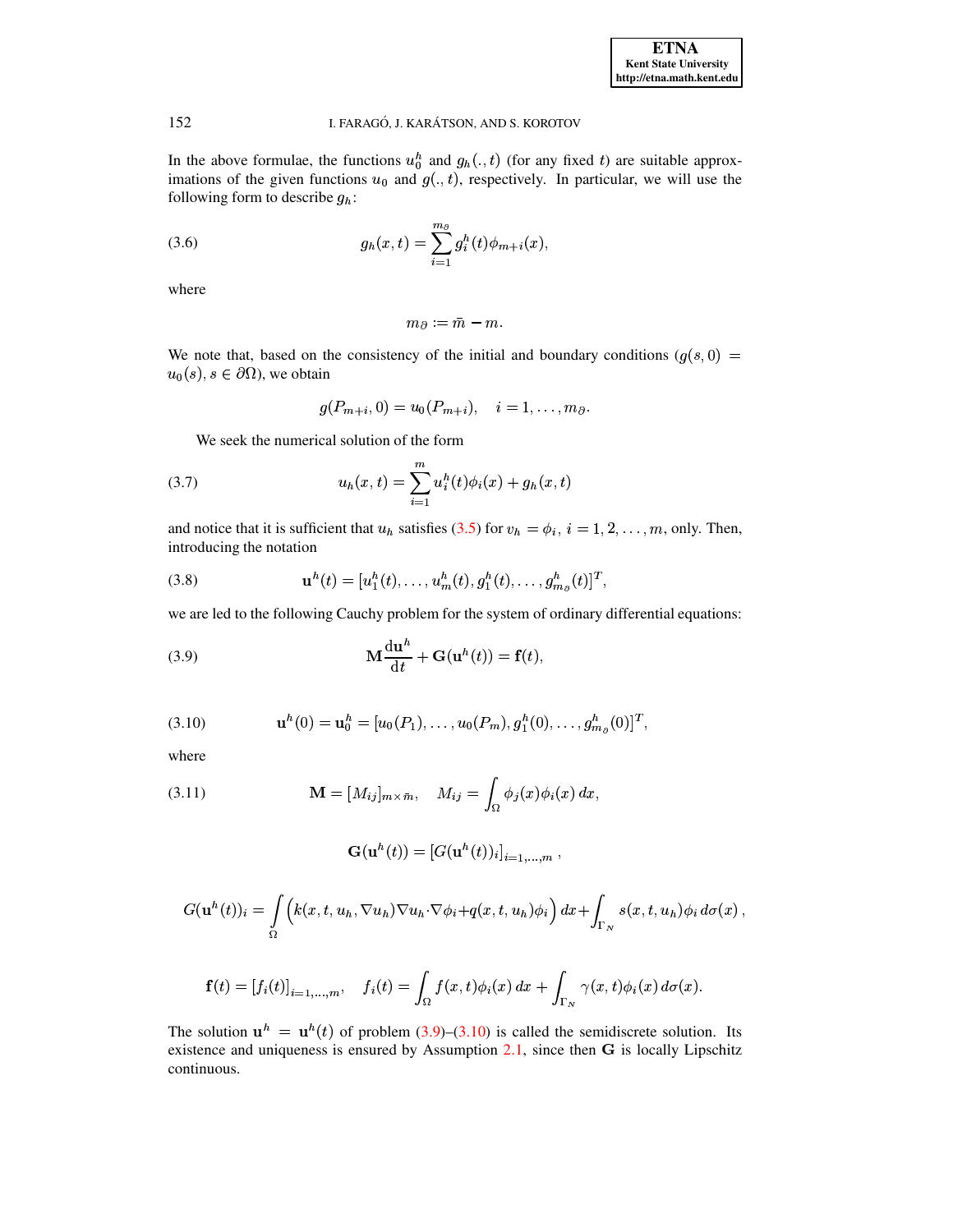In the above formulae, the functions  $u_0^h$  and  $g_h(.,t)$  (for any fixed t) are suitable approximations of the given functions  $u_0$  and  $g(.,t)$ , respectively. In particular, we will use the following form to describe  $g_h$ :

(3.6) 
$$
g_h(x,t) = \sum_{i=1}^{m_{\partial}} g_i^h(t) \phi_{m+i}(x),
$$

where

152

<span id="page-3-0"></span>
$$
m_{\partial}:=m-m.
$$

We note that, based on the consistency of the initial and boundary conditions  $(g(s, 0))$  $u_0(s), s \in \partial\Omega$ , we obtain

<span id="page-3-3"></span>
$$
g(P_{m+i},0) = u_0(P_{m+i}), \quad i = 1,\ldots,m_\partial.
$$

We seek the numerical solution of the form

(3.7) 
$$
u_h(x,t) = \sum_{i=1}^m u_i^h(t)\phi_i(x) + g_h(x,t)
$$

and notice that it is sufficient that  $u_h$  satisfies (3.5) for  $v_h = \phi_i$ ,  $i = 1, 2, ..., m$ , only. Then, introducing the notation

(3.8) 
$$
\mathbf{u}^{h}(t) = [u_{1}^{h}(t), \ldots, u_{m}^{h}(t), g_{1}^{h}(t), \ldots, g_{m_{\partial}}^{h}(t)]^{T},
$$

we are led to the following Cauchy problem for the system of ordinary differential equations:

(3.9) 
$$
\mathbf{M} \frac{\mathrm{d} \mathbf{u}^h}{\mathrm{d} t} + \mathbf{G}(\mathbf{u}^h(t)) = \mathbf{f}(t),
$$

<span id="page-3-1"></span>(3.10) 
$$
\mathbf{u}^{h}(0) = \mathbf{u}_{0}^{h} = [u_{0}(P_{1}), \ldots, u_{0}(P_{m}), g_{1}^{h}(0), \ldots, g_{m_{\partial}}^{h}(0)]^{T}
$$

<span id="page-3-2"></span>where

(3.11) 
$$
\mathbf{M} = [M_{ij}]_{m \times \bar{m}}, \quad M_{ij} = \int_{\Omega} \phi_j(x) \phi_i(x) dx,
$$

$$
\mathbf{G}(\mathbf{u}^h(t))=[G(\mathbf{u}^h(t))_i]_{i=1,\ldots,m},
$$

$$
G(\mathbf{u}^{h}(t))_{i} = \int_{\Omega} \left( k(x, t, u_{h}, \nabla u_{h}) \nabla u_{h} \cdot \nabla \phi_{i} + q(x, t, u_{h}) \phi_{i} \right) dx + \int_{\Gamma_{N}} s(x, t, u_{h}) \phi_{i} d\sigma(x),
$$

$$
\mathbf{f}(t) = \left[f_i(t)\right]_{i=1,\ldots,m}, \quad f_i(t) = \int_{\Omega} f(x,t)\phi_i(x) \, dx + \int_{\Gamma_N} \gamma(x,t)\phi_i(x) \, d\sigma(x).
$$

The solution  $\mathbf{u}^h = \mathbf{u}^h(t)$  of problem (3.9)–(3.10) is called the semidiscrete solution. Its existence and uniqueness is ensured by Assumption  $2.1$ , since then  $G$  is locally Lipschitz continuous.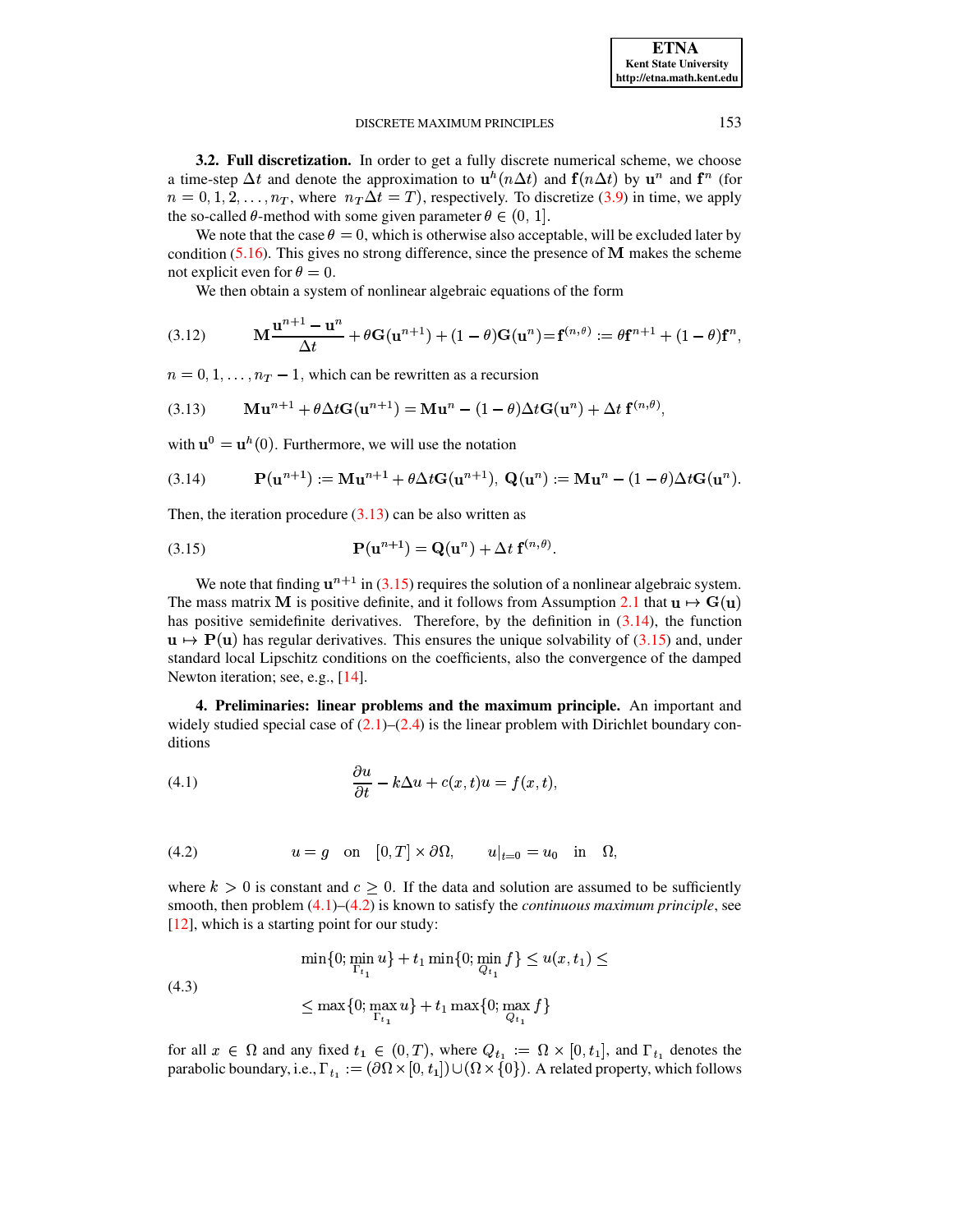**3.2. Full discretization.** In order to get a fully discrete numerical scheme, we choose a time-step  $\Delta t$  and denote the approximation to  $\mathbf{u}^h(n\Delta t)$  and  $\mathbf{f}(n\Delta t)$  by  $\mathbf{u}^n$  and  $\mathbf{f}^n$  (for  $n = 0, 1, 2, \ldots, n_T$ , where  $n_T \Delta t = T$ ), respectively. To discretize [\(3.9\)](#page-3-0) in time, we apply the so-called  $\theta$ -method with some given parameter  $\theta \in (0, 1]$ .

We note that the case  $\theta = 0$ , which is otherwise also acceptable, will be excluded later by condition  $(5.16)$ . This gives no strong difference, since the presence of  **makes the scheme** not explicit even for  $\theta = 0$ .

<span id="page-4-1"></span>We then obtain a system of nonlinear algebraic equations of the form

(3.12) 
$$
\mathbf{M} \frac{\mathbf{u}^{n+1} - \mathbf{u}^n}{\Delta t} + \theta \mathbf{G}(\mathbf{u}^{n+1}) + (1 - \theta) \mathbf{G}(\mathbf{u}^n) = \mathbf{f}^{(n,\theta)} := \theta \mathbf{f}^{n+1} + (1 - \theta) \mathbf{f}^n,
$$

 $n = 0, 1, \ldots, n_T - 1$ , which can be rewritten as a recursion

$$
(3.13) \qquad \mathbf{M}\mathbf{u}^{n+1} + \theta \Delta t \mathbf{G}(\mathbf{u}^{n+1}) = \mathbf{M}\mathbf{u}^n - (1 - \theta) \Delta t \mathbf{G}(\mathbf{u}^n) + \Delta t \mathbf{f}^{(n,\theta)},
$$

<span id="page-4-3"></span>with  $\mathbf{u}^0 = \mathbf{u}^h(0)$ . Furthermore, we will use the notation

(3.14) 
$$
\mathbf{P}(\mathbf{u}^{n+1}) := \mathbf{M}\mathbf{u}^{n+1} + \theta \Delta t \mathbf{G}(\mathbf{u}^{n+1}), \ \mathbf{Q}(\mathbf{u}^n) := \mathbf{M}\mathbf{u}^n - (1 - \theta) \Delta t \mathbf{G}(\mathbf{u}^n).
$$

<span id="page-4-2"></span>Then, the iteration procedure  $(3.13)$  can be also written as

(3.15) 
$$
\mathbf{P}(\mathbf{u}^{n+1}) = \mathbf{Q}(\mathbf{u}^n) + \Delta t \mathbf{f}^{(n,\theta)}.
$$

We note that finding  $\mathbf{u}^{n+1}$  in [\(3.15\)](#page-4-2) requires the solution of a nonlinear algebraic system. The mass matrix **M** is positive definite, and it follows from Assumption [2.1](#page-1-4) that  $\mathbf{u} \mapsto \mathbf{G}(\mathbf{u})$ has positive semidefinite derivatives. Therefore, by the definition in [\(3.14\)](#page-4-3), the function  $\mathbf{u} \mapsto \mathbf{P}(\mathbf{u})$  has regular derivatives. This ensures the unique solvability of [\(3.15\)](#page-4-2) and, under standard local Lipschitz conditions on the coefficients, also the convergence of the damped Newton iteration; see, e.g., [\[14\]](#page-18-18).

<span id="page-4-0"></span>**4. Preliminaries: linear problems and the maximum principle.** An important and widely studied special case of  $(2.1)$ – $(2.4)$  is the linear problem with Dirichlet boundary conditions

<span id="page-4-4"></span>(4.1) 
$$
\frac{\partial u}{\partial t} - k\Delta u + c(x, t)u = f(x, t),
$$

<span id="page-4-5"></span>(4.2) 
$$
u = g
$$
 on  $[0,T] \times \partial \Omega$ ,  $u|_{t=0} = u_0$  in  $\Omega$ ,

<span id="page-4-6"></span>where  $k > 0$  is constant and  $c \geq 0$ . If the data and solution are assumed to be sufficiently smooth, then problem [\(4.1\)](#page-4-4)–[\(4.2\)](#page-4-5) is known to satisfy the *continuous maximum principle*, see [\[12\]](#page-18-7), which is a starting point for our study:

$$
\min\{0; \min_{\Gamma_{t_1}} u\} + t_1 \min\{0; \min_{Q_{t_1}} f\} \le u(x, t_1) \le
$$
\n
$$
\le \max\{0; \max_{\Gamma_{t_1}} u\} + t_1 \max\{0; \max_{Q_{t_1}} f\}
$$

for all  $x \in \Omega$  and any fixed  $t_1 \in (0,T)$ , where  $Q_{t_1} := \Omega \times [0,t_1]$ , and  $\Gamma_{t_1}$  denotes the parabolic boundary, i.e.,  $\Gamma_{t_1} := (\partial \Omega \times [0, t_1]) \cup (\Omega \times \{0\})$ . A related property, which follows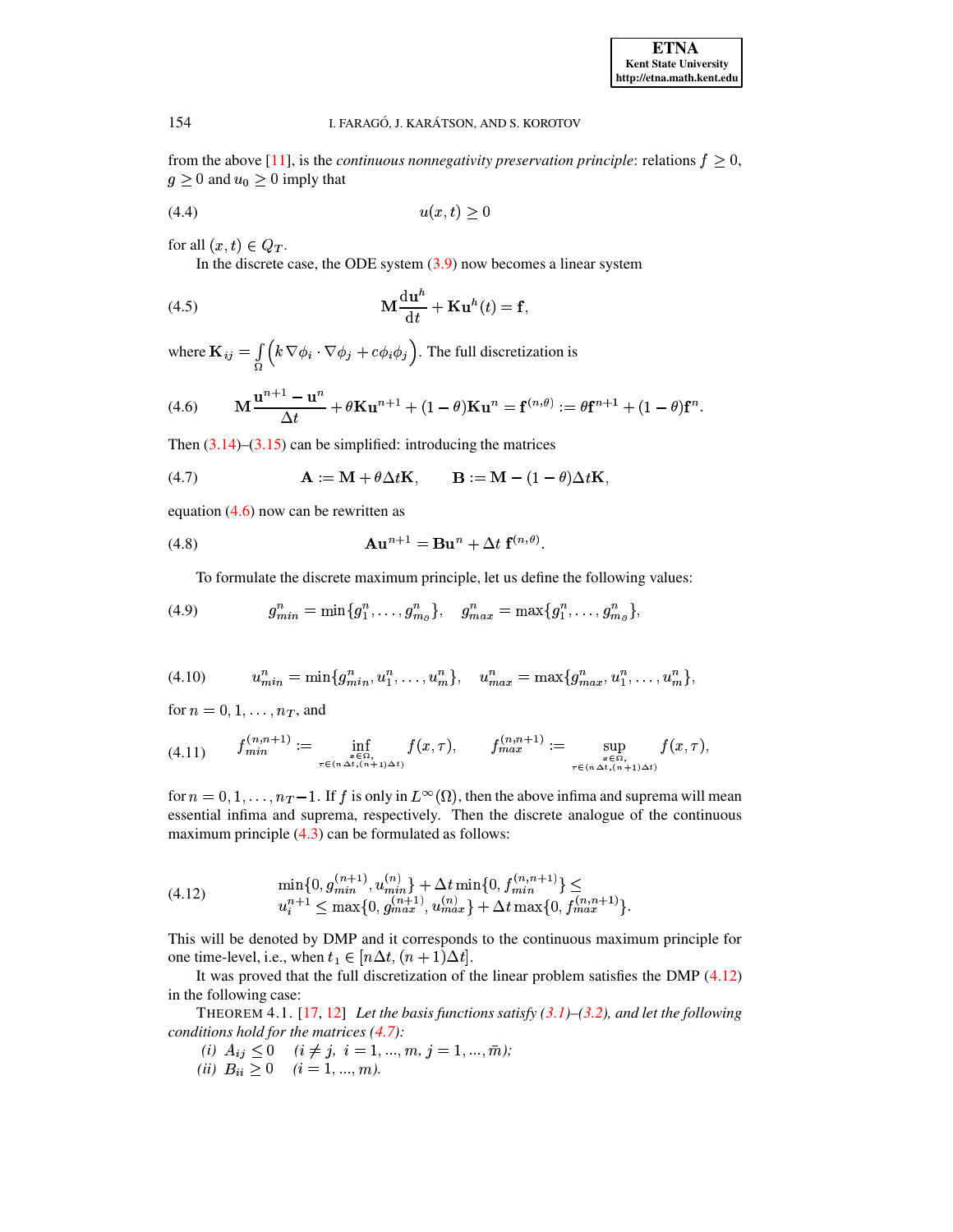<span id="page-5-7"></span>from the above [11], is the *continuous nonnegativity preservation principle*: relations  $f \ge 0$ ,  $g \geq 0$  and  $u_0 \geq 0$  imply that

$$
(4.4) \t\t u(x,t) \ge 0
$$

for all  $(x,t) \in Q_T$ .

<span id="page-5-1"></span>In the discrete case, the ODE system  $(3.9)$  now becomes a linear system

(4.5) 
$$
\mathbf{M} \frac{\mathrm{d} \mathbf{u}^h}{\mathrm{d} t} + \mathbf{K} \mathbf{u}^h(t) = \mathbf{f},
$$

where  $\mathbf{K}_{ij} = \int_{\Omega} \left( k \nabla \phi_i \cdot \nabla \phi_j + c \phi_i \phi_j \right)$ . The full discretization is

(4.6) 
$$
\mathbf{M} \frac{\mathbf{u}^{n+1} - \mathbf{u}^n}{\Delta t} + \theta \mathbf{K} \mathbf{u}^{n+1} + (1 - \theta) \mathbf{K} \mathbf{u}^n = \mathbf{f}^{(n, \theta)} := \theta \mathbf{f}^{n+1} + (1 - \theta) \mathbf{f}^n.
$$

<span id="page-5-3"></span>Then  $(3.14)$ – $(3.15)$  can be simplified: introducing the matrices

(4.7) 
$$
\mathbf{A} := \mathbf{M} + \theta \Delta t \mathbf{K}, \qquad \mathbf{B} := \mathbf{M} - (1 - \theta) \Delta t \mathbf{K},
$$

equation  $(4.6)$  now can be rewritten as

(4.8) 
$$
\mathbf{A}\mathbf{u}^{n+1} = \mathbf{B}\mathbf{u}^n + \Delta t \mathbf{f}^{(n,\theta)}
$$

<span id="page-5-6"></span>To formulate the discrete maximum principle, let us define the following values:

(4.9) 
$$
g_{min}^n = \min\{g_1^n, \ldots, g_{m_\partial}^n\}, \quad g_{max}^n = \max\{g_1^n, \ldots, g_{m_\partial}^n\},
$$

<span id="page-5-5"></span>
$$
(4.10) \t u_{min}^n = \min\{g_{min}^n, u_1^n, \dots, u_m^n\}, \t u_{max}^n = \max\{g_{max}^n, u_1^n, \dots, u_m^n\},\
$$

<span id="page-5-4"></span>for  $n = 0, 1, \ldots, n_T$ , and

$$
(4.11) \quad f_{min}^{(n,n+1)} := \inf_{\substack{x \in \Omega, \\ \tau \in (n \Delta t, (n+1) \Delta t)}} f(x, \tau), \quad f_{max}^{(n,n+1)} := \sup_{\substack{x \in \Omega, \\ \tau \in (n \Delta t, (n+1) \Delta t)}} f(x, \tau),
$$

<span id="page-5-2"></span>for  $n = 0, 1, ..., n_T-1$ . If f is only in  $L^{\infty}(\Omega)$ , then the above infima and suprema will mean essential infima and suprema, respectively. Then the discrete analogue of the continuous maximum principle  $(4.3)$  can be formulated as follows:

(4.12) 
$$
\min\{0, g_{min}^{(n+1)}, u_{min}^{(n)}\} + \Delta t \min\{0, f_{min}^{(n,n+1)}\} \le
$$

$$
u_i^{n+1} \le \max\{0, g_{max}^{(n+1)}, u_{max}^{(n)}\} + \Delta t \max\{0, f_{max}^{(n,n+1)}\}.
$$

This will be denoted by DMP and it corresponds to the continuous maximum principle for one time-level, i.e., when  $t_1 \in [n\Delta t, (n+1)\Delta t]$ .

It was proved that the full discretization of the linear problem satisfies the DMP  $(4.12)$ in the following case:

<span id="page-5-0"></span>THEOREM 4.1. [17, 12] Let the basis functions satisfy  $(3.1)$ – $(3.2)$ , and let the following conditions hold for the matrices  $(4.7)$ :

- $\begin{array}{ll} (i) \;\; A_{ij} \leq 0 & (i \neq j, \; i=1,...,m, \, j=1,...,\bar{m});\\ (ii) \;\; B_{ii} \geq 0 & (i=1,...,m). \end{array}$
-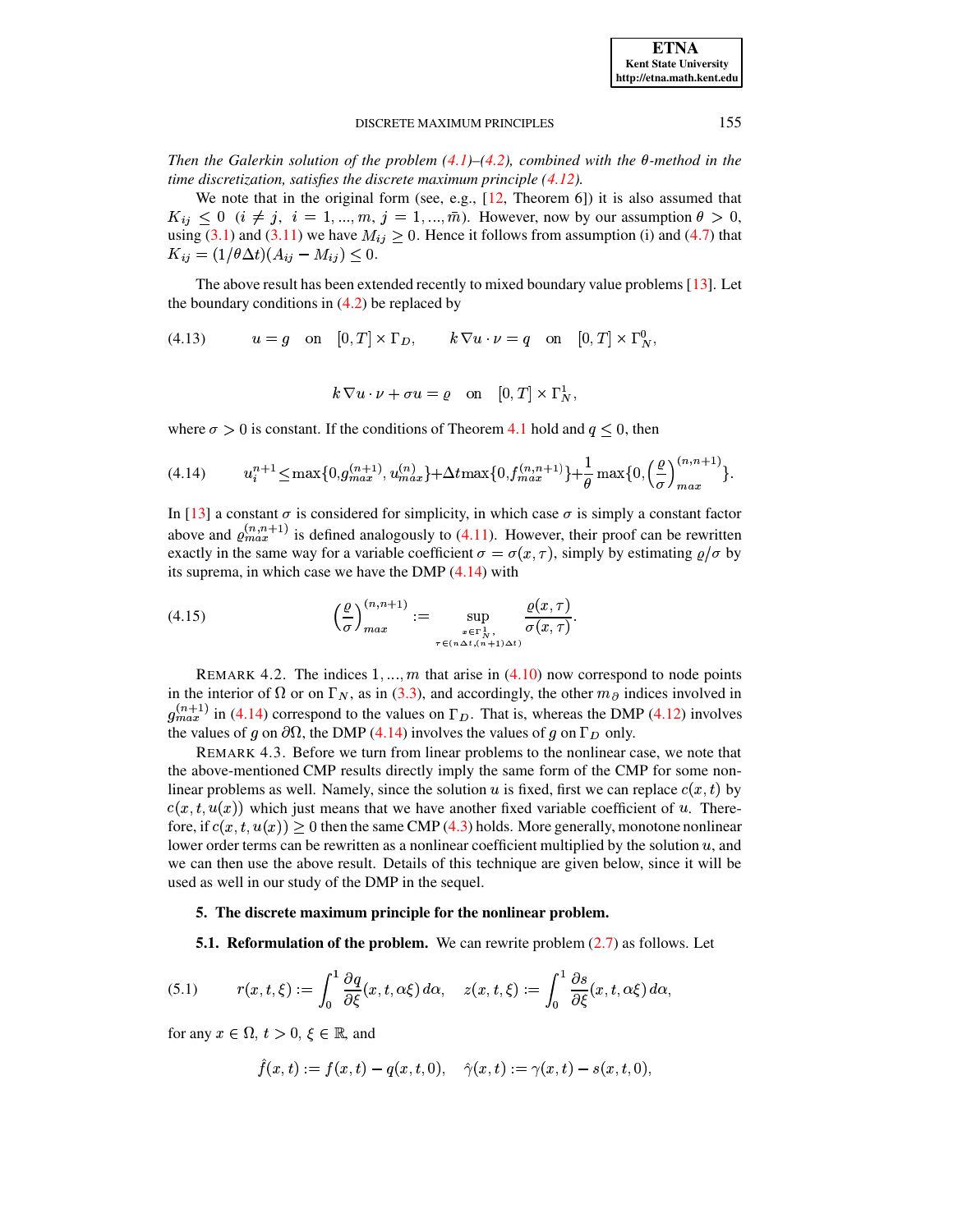Then the Galerkin solution of the problem  $(4.1)$ – $(4.2)$ , combined with the  $\theta$ -method in the time discretization, satisfies the discrete maximum principle  $(4.12)$ .

We note that in the original form (see, e.g.,  $[12,$  Theorem 6]) it is also assumed that  $K_{ij} \leq 0$  ( $i \neq j$ ,  $i = 1, ..., m$ ,  $j = 1, ..., \overline{m}$ ). However, now by our assumption  $\theta > 0$ , using (3.1) and (3.11) we have  $M_{ij} \geq 0$ . Hence it follows from assumption (i) and (4.7) that  $K_{ij} = (1/\theta \Delta t) (A_{ij} - M_{ij}) \leq 0.$ 

The above result has been extended recently to mixed boundary value problems [13]. Let the boundary conditions in  $(4.2)$  be replaced by

$$
(4.13) \t u = g \t on [0, T] \times \Gamma_D, \t k \nabla u \cdot \nu = q \t on [0, T] \times \Gamma_N^0
$$

<span id="page-6-3"></span><span id="page-6-1"></span>
$$
k \nabla u \cdot \nu + \sigma u = \varrho
$$
 on  $[0,T] \times \Gamma_N^1$ 

where  $\sigma > 0$  is constant. If the conditions of Theorem 4.1 hold and  $q \leq 0$ , then

$$
(4.14) \t u_i^{n+1} \le \max\{0, g_{max}^{(n+1)}, u_{max}^{(n)}\} + \Delta t \max\{0, f_{max}^{(n,n+1)}\} + \frac{1}{\theta} \max\{0, \left(\frac{\varrho}{\sigma}\right)_{max}^{(n,n+1)}\}.
$$

In [13] a constant  $\sigma$  is considered for simplicity, in which case  $\sigma$  is simply a constant factor above and  $\rho_{max}^{(n,n+1)}$  is defined analogously to (4.11). However, their proof can be rewritten exactly in the same way for a variable coefficient  $\sigma = \sigma(x, \tau)$ , simply by estimating  $\rho/\sigma$  by its suprema, in which case we have the DMP  $(4.14)$  with

(4.15) 
$$
\left(\frac{\varrho}{\sigma}\right)_{max}^{(n,n+1)} := \sup_{\substack{x \in \Gamma_N^1, \\ \tau \in (n\Delta t, (n+1)\Delta t)}} \frac{\varrho(x, \tau)}{\sigma(x, \tau)}
$$

<span id="page-6-4"></span>REMARK 4.2. The indices  $1, ..., m$  that arise in (4.10) now correspond to node points in the interior of  $\Omega$  or on  $\Gamma_N$ , as in (3.3), and accordingly, the other  $m_\partial$  indices involved in  $g_{max}^{(n+1)}$  in (4.14) correspond to the values on  $\Gamma_D$ . That is, whereas the DMP (4.12) involves the values of g on  $\partial\Omega$ , the DMP (4.14) involves the values of g on  $\Gamma_D$  only.

REMARK 4.3. Before we turn from linear problems to the nonlinear case, we note that the above-mentioned CMP results directly imply the same form of the CMP for some nonlinear problems as well. Namely, since the solution u is fixed, first we can replace  $c(x, t)$  by  $c(x, t, u(x))$  which just means that we have another fixed variable coefficient of u. Therefore, if  $c(x, t, u(x)) \ge 0$  then the same CMP (4.3) holds. More generally, monotone nonlinear lower order terms can be rewritten as a nonlinear coefficient multiplied by the solution  $u$ , and we can then use the above result. Details of this technique are given below, since it will be used as well in our study of the DMP in the sequel.

# 5. The discrete maximum principle for the nonlinear problem.

**5.1. Reformulation of the problem.** We can rewrite problem  $(2.7)$  as follows. Let

<span id="page-6-0"></span>(5.1) 
$$
r(x,t,\xi) := \int_0^1 \frac{\partial q}{\partial \xi}(x,t,\alpha\xi) d\alpha, \quad z(x,t,\xi) := \int_0^1 \frac{\partial s}{\partial \xi}(x,t,\alpha\xi) d\alpha,
$$

for any  $x \in \Omega$ ,  $t > 0$ ,  $\xi \in \mathbb{R}$ , and

<span id="page-6-2"></span>
$$
\hat{f}(x,t):=f(x,t)-q(x,t,0),\quad \hat{\gamma}(x,t):=\gamma(x,t)-s(x,t,0),
$$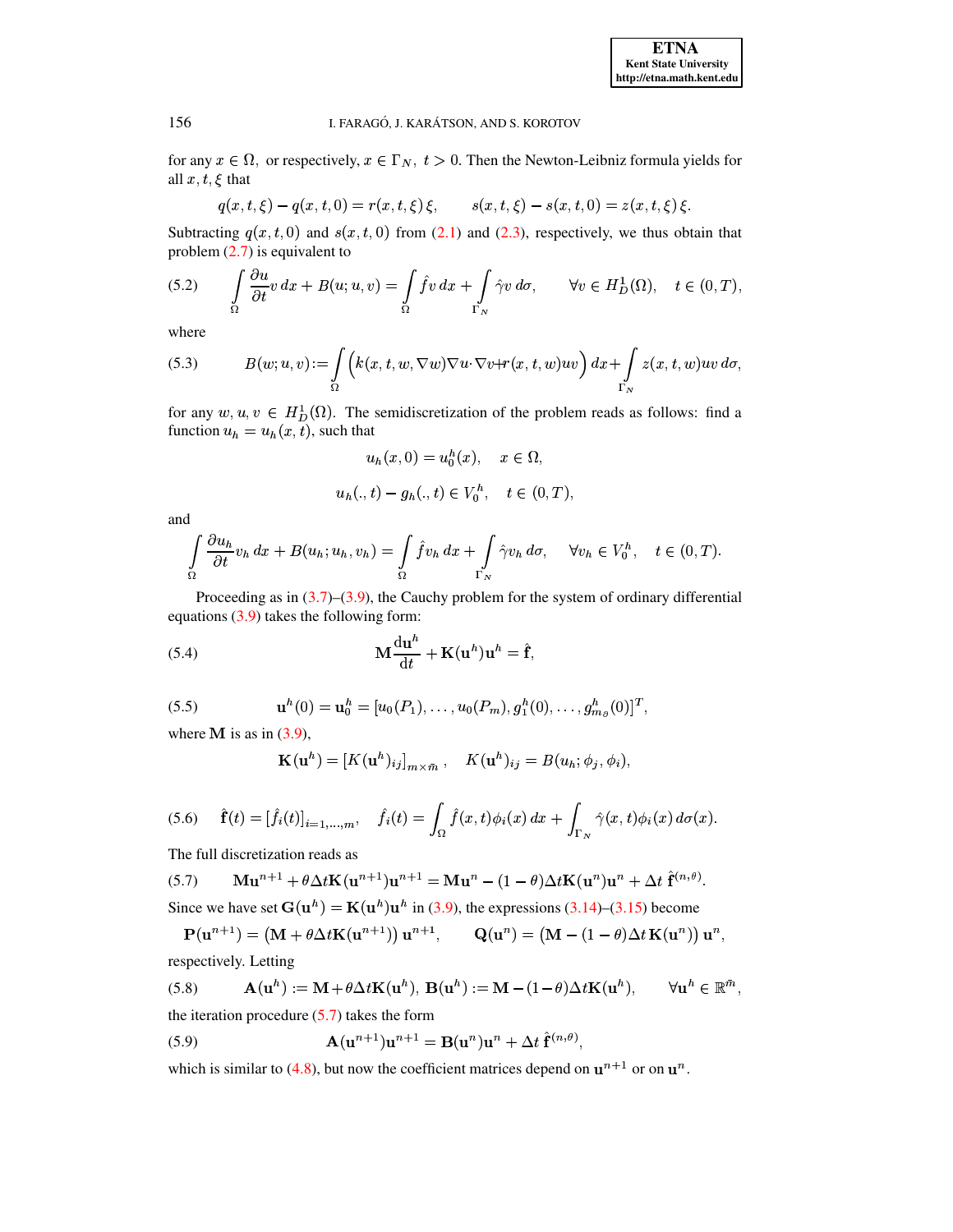for any  $x \in \Omega$ , or respectively,  $x \in \Gamma_N$ ,  $t > 0$ . Then the Newton-Leibniz formula yields for all  $x, t, \xi$  that

<span id="page-7-2"></span>
$$
q(x, t, \xi) - q(x, t, 0) = r(x, t, \xi) \xi, \qquad s(x, t, \xi) - s(x, t, 0) = z(x, t, \xi) \xi.
$$

Subtracting  $q(x, t, 0)$  and  $s(x, t, 0)$  from (2.1) and (2.3), respectively, we thus obtain that problem  $(2.7)$  is equivalent to

(5.2) 
$$
\int_{\Omega} \frac{\partial u}{\partial t} v \, dx + B(u; u, v) = \int_{\Omega} \hat{f} v \, dx + \int_{\Gamma_N} \hat{\gamma} v \, d\sigma, \qquad \forall v \in H_D^1(\Omega), \quad t \in (0, T),
$$

<span id="page-7-3"></span>where

(5.3) 
$$
B(w; u, v) := \int_{\Omega} \left( k(x, t, w, \nabla w) \nabla u \cdot \nabla v + r(x, t, w)uv \right) dx + \int_{\Gamma_N} z(x, t, w)uv d\sigma
$$

for any  $w, u, v \in H_D^1(\Omega)$ . The semidiscretization of the problem reads as follows: find a function  $u_h = u_h(x, t)$ , such that

$$
u_h(x,0) = u_0^h(x), \quad x \in \Omega,
$$
  

$$
u_h(.,t) - g_h(.,t) \in V_0^h, \quad t \in (0,T),
$$

and

$$
\int_{\Omega} \frac{\partial u_h}{\partial t} v_h \, dx + B(u_h; u_h, v_h) = \int_{\Omega} \hat{f} v_h \, dx + \int_{\Gamma_N} \hat{\gamma} v_h \, d\sigma, \quad \forall v_h \in V_0^h, \quad t \in (0, T).
$$

Proceeding as in  $(3.7)$ – $(3.9)$ , the Cauchy problem for the system of ordinary differential equations  $(3.9)$  takes the following form:

(5.4) 
$$
\mathbf{M} \frac{\mathrm{d} \mathbf{u}^h}{\mathrm{d} t} + \mathbf{K} (\mathbf{u}^h) \mathbf{u}^h = \hat{\mathbf{f}},
$$

(5.5) 
$$
\mathbf{u}^{h}(0) = \mathbf{u}_{0}^{h} = [u_{0}(P_{1}), \ldots, u_{0}(P_{m}), g_{1}^{h}(0), \ldots, g_{m_{\partial}}^{h}(0)]^{T}
$$

where **M** is as in  $(3.9)$ ,

<span id="page-7-4"></span>
$$
\mathbf{K}(\mathbf{u}^h) = \left[K(\mathbf{u}^h)_{ij}\right]_{m \times \bar{m}}, \quad K(\mathbf{u}^h)_{ij} = B(u_h; \phi_j, \phi_i),
$$

<span id="page-7-5"></span>
$$
(5.6) \quad \hat{\mathbf{f}}(t) = [\hat{f}_i(t)]_{i=1,\ldots,m}, \quad \hat{f}_i(t) = \int_{\Omega} \hat{f}(x,t)\phi_i(x) dx + \int_{\Gamma_N} \hat{\gamma}(x,t)\phi_i(x) d\sigma(x).
$$

<span id="page-7-0"></span>The full discretization reads as

(5.7) 
$$
\mathbf{M} \mathbf{u}^{n+1} + \theta \Delta t \mathbf{K} (\mathbf{u}^{n+1}) \mathbf{u}^{n+1} = \mathbf{M} \mathbf{u}^n - (1 - \theta) \Delta t \mathbf{K} (\mathbf{u}^n) \mathbf{u}^n + \Delta t \hat{\mathbf{f}}^{(n,\theta)}.
$$

Since we have set  $G(u^h) = K(u^h)u^h$  in (3.9), the expressions (3.14)–(3.15) become

$$
\mathbf{P}(\mathbf{u}^{n+1}) = (\mathbf{M} + \theta \Delta t \mathbf{K}(\mathbf{u}^{n+1})) \mathbf{u}^{n+1}, \qquad \mathbf{Q}(\mathbf{u}^n) = (\mathbf{M} - (1 - \theta) \Delta t \mathbf{K}(\mathbf{u}^n)) \mathbf{u}^n,
$$

<span id="page-7-1"></span>respectively. Letting

(5.8) 
$$
\mathbf{A}(\mathbf{u}^h) := \mathbf{M} + \theta \Delta t \mathbf{K}(\mathbf{u}^h), \ \mathbf{B}(\mathbf{u}^h) := \mathbf{M} - (1 - \theta) \Delta t \mathbf{K}(\mathbf{u}^h), \qquad \forall \mathbf{u}^h \in \mathbb{R}^{\bar{m}},
$$
the iteration procedure (5.7) takes the form

<span id="page-7-6"></span> $\mathbf{A}(\mathbf{u}^{n+1})\mathbf{u}^{n+1} = \mathbf{B}(\mathbf{u}^n)\mathbf{u}^n + \Delta t \hat{\mathbf{f}}^{(n,\theta)},$  $(5.9)$ 

which is similar to (4.8), but now the coefficient matrices depend on  $\mathbf{u}^{n+1}$  or on  $\mathbf{u}^n$ .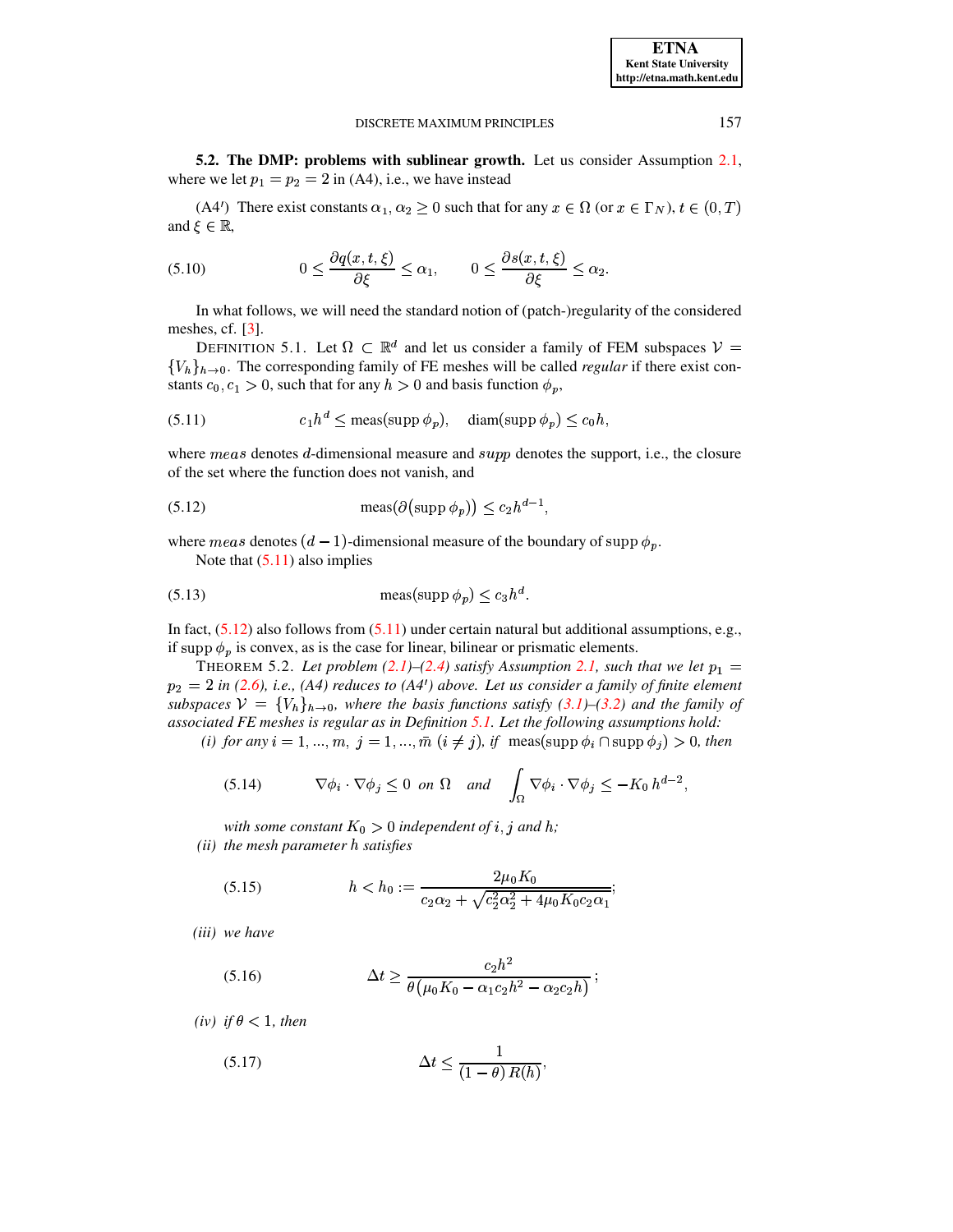5.2. The DMP: problems with sublinear growth. Let us consider Assumption 2.1, where we let  $p_1 = p_2 = 2$  in (A4), i.e., we have instead

<span id="page-8-5"></span> $(A4')$  There exist constants  $\alpha_1, \alpha_2 \ge 0$  such that for any  $x \in \Omega$  (or  $x \in \Gamma_N$ ),  $t \in (0, T)$ and  $\xi \in \mathbb{R}$ ,

(5.10) 
$$
0 \leq \frac{\partial q(x,t,\xi)}{\partial \xi} \leq \alpha_1, \qquad 0 \leq \frac{\partial s(x,t,\xi)}{\partial \xi} \leq \alpha_2.
$$

In what follows, we will need the standard notion of (patch-)regularity of the considered meshes, cf.  $[3]$ .

<span id="page-8-3"></span>DEFINITION 5.1. Let  $\Omega \subset \mathbb{R}^d$  and let us consider a family of FEM subspaces  $V =$  ${V_h}_{h\to 0}$ . The corresponding family of FE meshes will be called *regular* if there exist constants  $c_0, c_1 > 0$ , such that for any  $h > 0$  and basis function  $\phi_p$ ,

<span id="page-8-1"></span>(5.11) 
$$
c_1 h^d \leq \text{meas}(\text{supp }\phi_p), \quad \text{diam}(\text{supp }\phi_p) \leq c_0 h
$$

where  $meas$  denotes d-dimensional measure and  $supp$  denotes the support, i.e., the closure of the set where the function does not vanish, and

(5.12) 
$$
\operatorname{meas}(\partial(\operatorname{supp}\phi_p)) \leq c_2 h^{d-1}.
$$

where meas denotes  $(d-1)$ -dimensional measure of the boundary of supp  $\phi_p$ .

<span id="page-8-4"></span><span id="page-8-2"></span>Note that  $(5.11)$  also implies

$$
(5.13) \t\t\tmeas(\sup p \phi_p) \le c_3 h^d.
$$

In fact,  $(5.12)$  also follows from  $(5.11)$  under certain natural but additional assumptions, e.g., if supp  $\phi_p$  is convex, as is the case for linear, bilinear or prismatic elements.

<span id="page-8-8"></span>THEOREM 5.2. Let problem (2.1)–(2.4) satisfy Assumption 2.1, such that we let  $p_1 =$  $p_2 = 2$  in (2.6), i.e., (A4) reduces to (A4') above. Let us consider a family of finite element subspaces  $V = \{V_h\}_{h\to 0}$ , where the basis functions satisfy (3.1)–(3.2) and the family of associated FE meshes is regular as in Definition 5.1. Let the following assumptions hold:

(i) for any  $i = 1, ..., m$ ,  $j = 1, ..., \overline{m}$   $(i \neq j)$ , if meas(supp  $\phi_i \cap$  supp  $\phi_j$ ) > 0, then

<span id="page-8-6"></span>(5.14) 
$$
\nabla \phi_i \cdot \nabla \phi_j \leq 0 \text{ on } \Omega \text{ and } \int_{\Omega} \nabla \phi_i \cdot \nabla \phi_j \leq -K_0 h^{d-2},
$$

with some constant  $K_0 > 0$  independent of i, j and h; (ii) the mesh parameter h satisfies

<span id="page-8-7"></span>(5.15) 
$$
h < h_0 := \frac{2\mu_0 K_0}{c_2 \alpha_2 + \sqrt{c_2^2 \alpha_2^2 + 4\mu_0 K_0 c_2 \alpha_1}};
$$

<span id="page-8-0"></span>(iii) we have

(5.16) 
$$
\Delta t \geq \frac{c_2 h^2}{\theta (\mu_0 K_0 - \alpha_1 c_2 h^2 - \alpha_2 c_2 h)};
$$

<span id="page-8-9"></span>(iv) if  $\theta$  < 1, then

$$
(5.17)\qquad \qquad \Delta t \le \frac{1}{(1-\theta) R(h)},
$$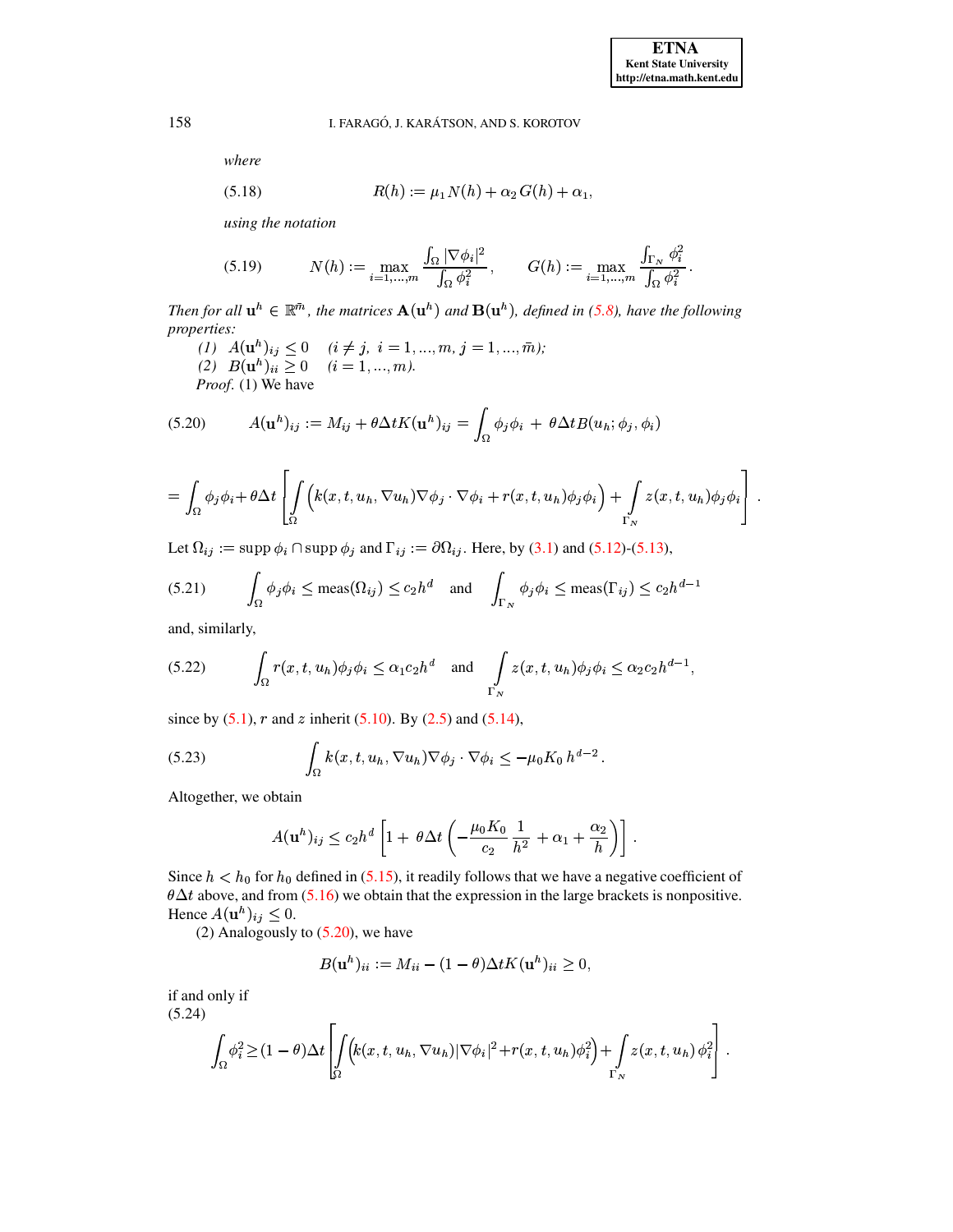<span id="page-9-2"></span>where

(5.18) 
$$
R(h) := \mu_1 N(h) + \alpha_2 G(h) + \alpha_1,
$$

<span id="page-9-3"></span>using the notation

$$
(5.19) \t N(h) := \max_{i=1,...,m} \frac{\int_{\Omega} |\nabla \phi_i|^2}{\int_{\Omega} \phi_i^2}, \t G(h) := \max_{i=1,...,m} \frac{\int_{\Gamma_N} \phi_i^2}{\int_{\Omega} \phi_i^2}.
$$

Then for all  $\mathbf{u}^h \in \mathbb{R}^{\bar{m}}$ , the matrices  $\mathbf{A}(\mathbf{u}^h)$  and  $\mathbf{B}(\mathbf{u}^h)$ , defined in (5.8), have the following properties:

<span id="page-9-0"></span> $\begin{array}{ll} (1) \ \ A(\mathbf{u}^h)_{ij} \leq 0 \quad \ (i \neq j, \ i = 1,...,m, \ j = 1,...,\bar{m}); \\ (2) \ \ B(\mathbf{u}^h)_{ii} \geq 0 \quad \ (i = 1,...,m). \end{array}$ *Proof.* (1) We have

(5.20) 
$$
A(\mathbf{u}^h)_{ij} := M_{ij} + \theta \Delta t K(\mathbf{u}^h)_{ij} = \int_{\Omega} \phi_j \phi_i + \theta \Delta t B(u_h; \phi_j, \phi_i)
$$

$$
= \int_{\Omega} \phi_j \phi_i + \theta \Delta t \left[ \int_{\Omega} \left( k(x, t, u_h, \nabla u_h) \nabla \phi_j \cdot \nabla \phi_i + r(x, t, u_h) \phi_j \phi_i \right) + \int_{\Gamma_N} z(x, t, u_h) \phi_j \phi_i \right] .
$$

Let  $\Omega_{ij} := \text{supp } \phi_i \cap \text{supp } \phi_j$  and  $\Gamma_{ij} := \partial \Omega_{ij}$ . Here, by (3.1) and (5.12)-(5.13),

<span id="page-9-5"></span>
$$
(5.21) \qquad \int_{\Omega} \phi_j \phi_i \le \text{meas}(\Omega_{ij}) \le c_2 h^d \quad \text{and} \quad \int_{\Gamma_N} \phi_j \phi_i \le \text{meas}(\Gamma_{ij}) \le c_2 h^{d-1}
$$

<span id="page-9-4"></span>and, similarly,

(5.22) 
$$
\int_{\Omega} r(x, t, u_h) \phi_j \phi_i \leq \alpha_1 c_2 h^d \text{ and } \int_{\Gamma_N} z(x, t, u_h) \phi_j \phi_i \leq \alpha_2 c_2 h^{d-1},
$$

since by  $(5.1)$ , r and z inherit  $(5.10)$ . By  $(2.5)$  and  $(5.14)$ ,

(5.23) 
$$
\int_{\Omega} k(x, t, u_h, \nabla u_h) \nabla \phi_j \cdot \nabla \phi_i \leq -\mu_0 K_0 h^{d-2}
$$

Altogether, we obtain

<span id="page-9-6"></span>
$$
A(\mathbf{u}^h)_{ij} \le c_2 h^d \left[ 1 + \theta \Delta t \left( -\frac{\mu_0 K_0}{c_2} \frac{1}{h^2} + \alpha_1 + \frac{\alpha_2}{h} \right) \right]
$$

Since  $h < h_0$  for  $h_0$  defined in (5.15), it readily follows that we have a negative coefficient of  $\theta \Delta t$  above, and from (5.16) we obtain that the expression in the large brackets is nonpositive. Hence  $A(\mathbf{u}^h)_{ij} \leq 0$ .

(2) Analogously to  $(5.20)$ , we have

$$
B(\mathbf{u}^{h})_{ii} := M_{ii} - (1 - \theta) \Delta t K(\mathbf{u}^{h})_{ii} \ge 0,
$$

<span id="page-9-1"></span>if and only if  $(5.24)$ 

$$
\int_{\Omega} \phi_i^2 \geq (1-\theta) \Delta t \left[ \int_{\Omega} \Bigl( k(x,t,u_h,\nabla u_h) |\nabla \phi_i|^2 + r(x,t,u_h) \phi_i^2 \Bigr) + \int_{\Gamma_N} z(x,t,u_h) \phi_i^2 \right].
$$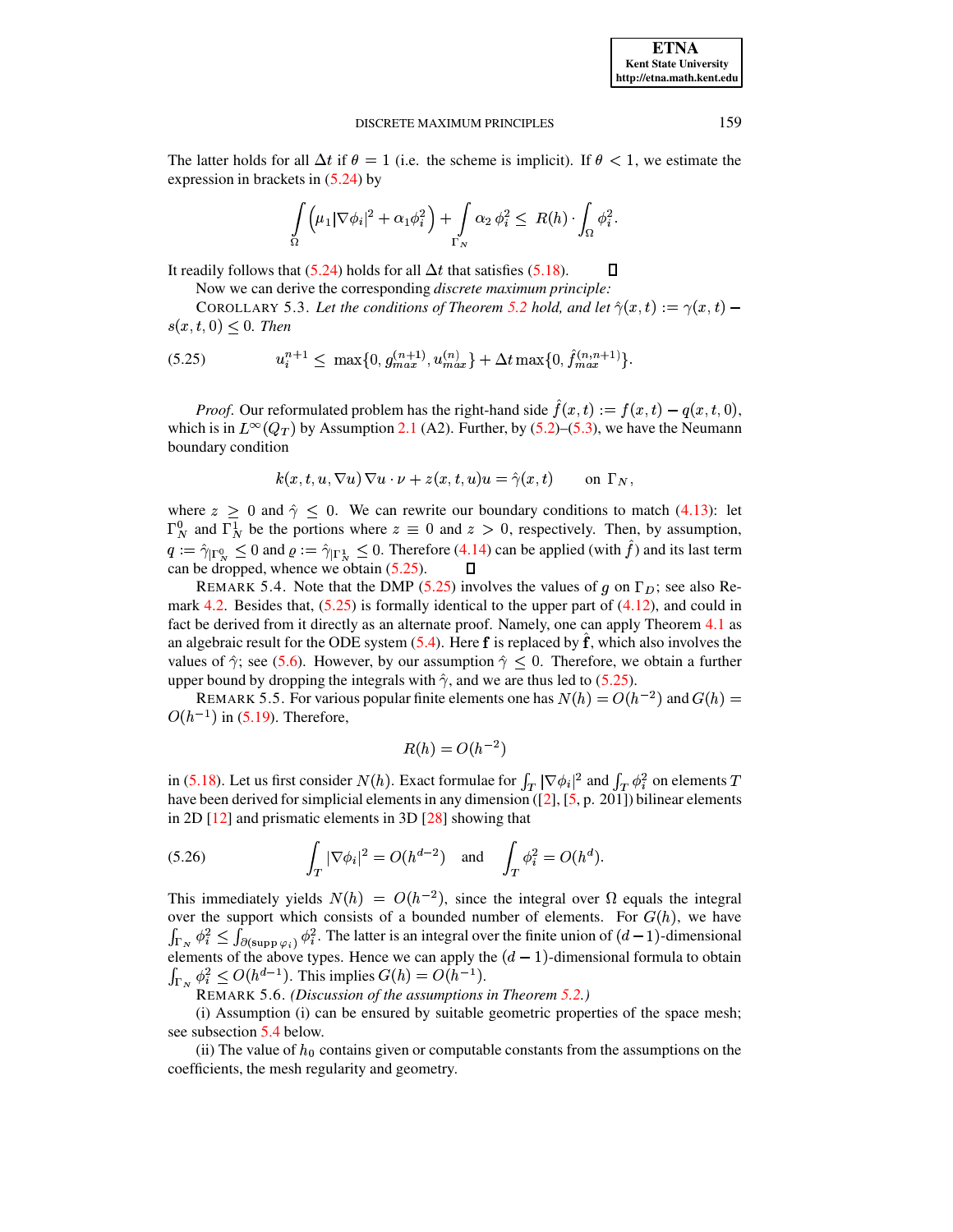The latter holds for all  $\Delta t$  if  $\theta = 1$  (i.e. the scheme is implicit). If  $\theta < 1$ , we estimate the expression in brackets in [\(5.24\)](#page-9-1) by

$$
\int_{\Omega} \left( \mu_1 |\nabla \phi_i|^2 + \alpha_1 \phi_i^2 \right) + \int_{\Gamma_N} \alpha_2 \phi_i^2 \le R(h) \cdot \int_{\Omega} \phi_i^2.
$$

It readily follows that [\(5.24\)](#page-9-1) holds for all  $\Delta t$  that satisfies [\(5.18\)](#page-9-2).  $\Box$ 

Now we can derive the corresponding *discrete maximum principle:*

<span id="page-10-2"></span><span id="page-10-0"></span>COROLLARY 5.3. Let the conditions of Theorem [5.2](#page-8-8) hold, and let  $\hat{\gamma}(x,t) := \gamma(x,t)$  –  $s(x, t, 0) \leq 0$ . Then

$$
(5.25) \t u_i^{n+1} \leq \max\{0, g_{max}^{(n+1)}, u_{max}^{(n)}\} + \Delta t \max\{0, \hat{f}_{max}^{(n,n+1)}\}.
$$

*Proof.* Our reformulated problem has the right-hand side  $\hat{f}(x,t) := f(x,t) - q(x,t,0)$ , which is in  $L^{\infty}(Q_T)$  by Assumption [2.1](#page-1-4) (A2). Further, by [\(5.2\)](#page-7-2)–[\(5.3\)](#page-7-3), we have the Neumann boundary condition

$$
k(x, t, u, \nabla u) \nabla u \cdot \nu + z(x, t, u)u = \hat{\gamma}(x, t) \qquad \text{on } \Gamma_N,
$$

where  $z \geq 0$  and  $\hat{\gamma} \leq 0$ . We can rewrite our boundary conditions to match [\(4.13\)](#page-6-3): let  $\Gamma_N^0$  and  $\Gamma_N^1$  be the portions where  $z \equiv 0$  and  $z > 0$ , respectively. Then, by assumption,  $q := \hat{\gamma}_{\vert \Gamma_N^0} \leq 0$  and  $\varrho := \hat{\gamma}_{\vert \Gamma_N^1} \leq 0$ . Therefore [\(4.14\)](#page-6-1) can be applied (with  $\hat{f}$ ) and its last term can be dropped, whence we obtain [\(5.25\)](#page-10-0). 0

REMARK 5.4. Note that the DMP [\(5.25\)](#page-10-0) involves the values of g on  $\Gamma_D$ ; see also Re-mark [4.2.](#page-6-4) Besides that,  $(5.25)$  is formally identical to the upper part of  $(4.12)$ , and could in fact be derived from it directly as an alternate proof. Namely, one can apply Theorem [4.1](#page-5-0) as an algebraic result for the ODE system  $(5.4)$ . Here f is replaced by  $\hat{f}$ , which also involves the values of  $\hat{\gamma}$ ; see [\(5.6\)](#page-7-5). However, by our assumption  $\hat{\gamma} \leq 0$ . Therefore, we obtain a further upper bound by dropping the integrals with  $\hat{\gamma}$ , and we are thus led to [\(5.25\)](#page-10-0).

<span id="page-10-1"></span>REMARK 5.5. For various popular finite elements one has  $N(h) = O(h^{-2})$  and  $G(h) =$  $O(h^{-1})$  in [\(5.19\)](#page-9-3). Therefore,

$$
R(h) = O(h^{-2})
$$

in [\(5.18\)](#page-9-2). Let us first consider  $N(h)$ . Exact formulae for  $\int_T |\nabla \phi_i|^2$  and  $\int_T \phi_i^2$  on element have been derived for simplicial elements in any dimension ([\[2\]](#page-17-2), [\[5,](#page-17-3) p. 201]) bilinear elements  $\phi_i^2$  on elements  $T$ in 2D [\[12\]](#page-18-7) and prismatic elements in 3D [\[28\]](#page-18-19) showing that

(5.26) 
$$
\int_T |\nabla \phi_i|^2 = O(h^{d-2}) \text{ and } \int_T \phi_i^2 = O(h^d).
$$

This immediately yields  $N(h) = O(h^{-2})$ , since the integral over  $\Omega$  equals the integral over the support which consists of a bounded number of elements. For  $G(h)$ , we have  $\int_{\Gamma_N} \phi_i^2 \leq \int_{\partial(\text{supp }\varphi_i)} \phi_i^2$ . The latter is an integral over the finite union of  $(d-1)$ -dimensional elements of the above types. Hence we can apply the  $(d-1)$ -dimensional formula to obtain  $\int_{\Gamma_{\mathcal{M}}} \phi_i^2 \leq O(h^{d-1})$ . This implies  $G(h) = O(h^{-1})$ .

REMARK 5.6. *(Discussion of the assumptions in Theorem [5.2.](#page-8-8))*

(i) Assumption (i) can be ensured by suitable geometric properties of the space mesh; see subsection [5.4](#page-16-0) below.

(ii) The value of  $h_0$  contains given or computable constants from the assumptions on the coefficients, the mesh regularity and geometry.

**ETNA Kent State University http://etna.math.kent.edu**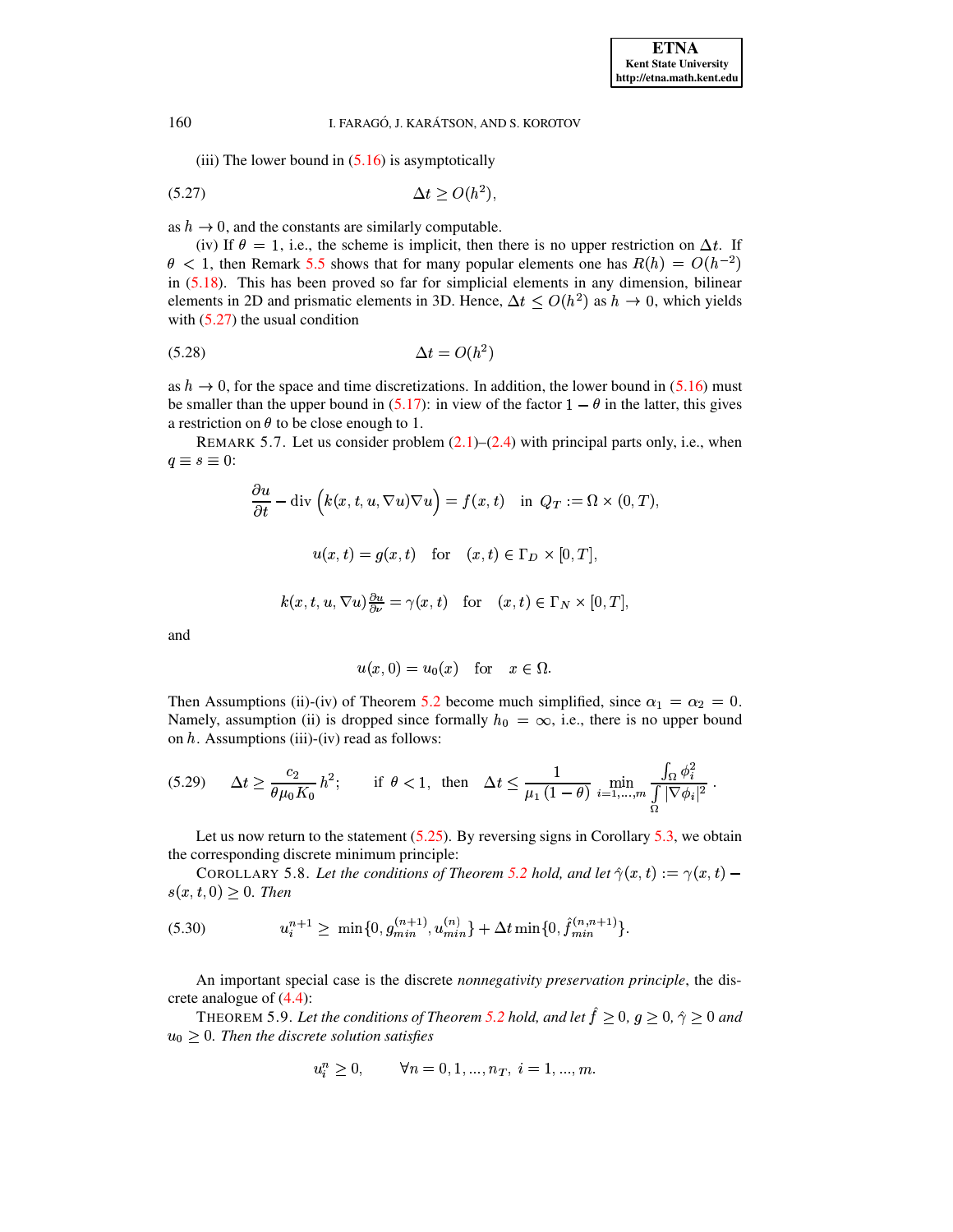<span id="page-11-0"></span>(iii) The lower bound in  $(5.16)$  is asymptotically

$$
(5.27)\qquad \Delta t \ge O(h^2)
$$

as  $h \to 0$ , and the constants are similarly computable.

(iv) If  $\theta = 1$ , i.e., the scheme is implicit, then there is no upper restriction on  $\Delta t$ . If  $\theta$  < 1, then Remark 5.5 shows that for many popular elements one has  $R(h) = O(h^{-2})$ in  $(5.18)$ . This has been proved so far for simplicial elements in any dimension, bilinear elements in 2D and prismatic elements in 3D. Hence,  $\Delta t \le O(h^2)$  as  $h \to 0$ , which yields with  $(5.27)$  the usual condition

$$
\Delta t = O(h^2)
$$

as  $h \to 0$ , for the space and time discretizations. In addition, the lower bound in (5.16) must be smaller than the upper bound in (5.17): in view of the factor  $1 - \theta$  in the latter, this gives a restriction on  $\theta$  to be close enough to 1.

<span id="page-11-4"></span>REMARK 5.7. Let us consider problem  $(2.1)$ – $(2.4)$  with principal parts only, i.e., when  $q \equiv s \equiv 0$ :

$$
\frac{\partial u}{\partial t} - \text{div}\left(k(x, t, u, \nabla u)\nabla u\right) = f(x, t) \quad \text{in } Q_T := \Omega \times (0, T),
$$

$$
u(x, t) = g(x, t) \quad \text{for } \quad (x, t) \in \Gamma_D \times [0, T],
$$

$$
k(x, t, u, \nabla u)\frac{\partial u}{\partial \nu} = \gamma(x, t) \quad \text{for } \quad (x, t) \in \Gamma_N \times [0, T],
$$

and

<span id="page-11-3"></span>
$$
u(x,0) = u_0(x) \quad \text{for} \quad x \in \Omega.
$$

Then Assumptions (ii)-(iv) of Theorem 5.2 become much simplified, since  $\alpha_1 = \alpha_2 = 0$ . Namely, assumption (ii) is dropped since formally  $h_0 = \infty$ , i.e., there is no upper bound on  $h$ . Assumptions (iii)-(iv) read as follows:

$$
(5.29) \quad \Delta t \ge \frac{c_2}{\theta \mu_0 K_0} h^2; \qquad \text{if } \theta < 1, \text{ then } \Delta t \le \frac{1}{\mu_1 (1 - \theta)} \min_{i = 1, \dots, m} \frac{\int_{\Omega} \phi_i^2}{\int_{\Omega} |\nabla \phi_i|^2}.
$$

Let us now return to the statement  $(5.25)$ . By reversing signs in Corollary 5.3, we obtain the corresponding discrete minimum principle:

<span id="page-11-1"></span>COROLLARY 5.8. Let the conditions of Theorem 5.2 hold, and let  $\hat{\gamma}(x,t) := \gamma(x,t)$  $s(x,t,0) \geq 0$ . Then

$$
(5.30) \t u_i^{n+1} \ge \ \min\{0, g_{min}^{(n+1)}, u_{min}^{(n)}\} + \Delta t \min\{0, \hat{f}_{min}^{(n,n+1)}\}.
$$

An important special case is the discrete *nonnegativity preservation principle*, the discrete analogue of  $(4.4)$ :

<span id="page-11-2"></span>THEOREM 5.9. Let the conditions of Theorem 5.2 hold, and let  $\hat{f} \ge 0$ ,  $g \ge 0$ ,  $\hat{\gamma} \ge 0$  and  $u_0 \geq 0$ . Then the discrete solution satisfies

$$
u_i^n \ge 0, \qquad \forall n = 0, 1, ..., n_T, \ i = 1, ..., m.
$$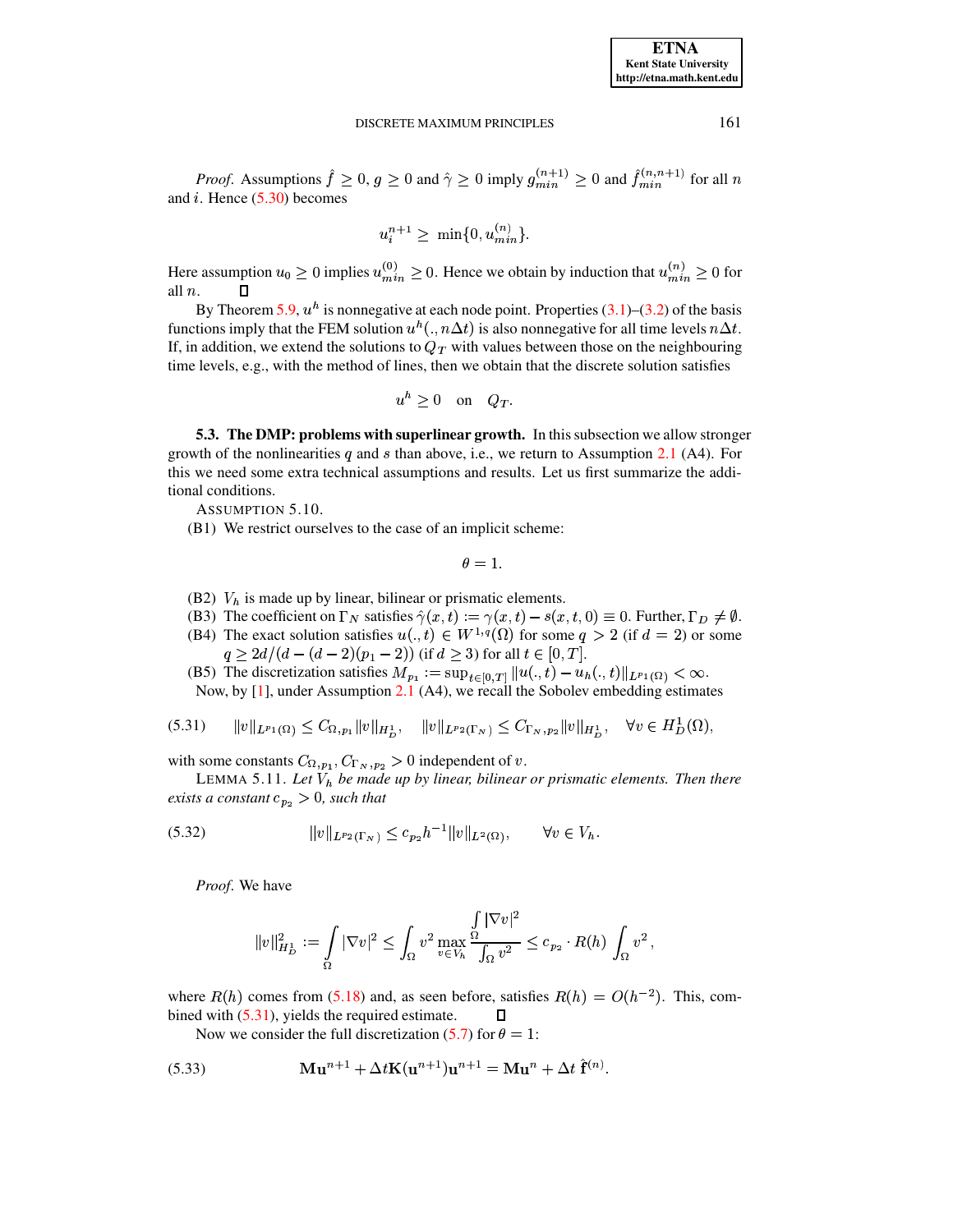*Proof.* Assumptions  $\hat{f} \ge 0$ ,  $g \ge 0$  and  $\hat{\gamma} \ge 0$  imply  $g_{min}^{(n+1)} \ge 0$  and  $\hat{f}_{min}^{(n,n+1)}$  for all n and  $i$ . Hence  $(5.30)$  becomes

$$
u_i^{n+1} \ge \ \min\{0, u_{min}^{(n)}\}.
$$

Here assumption  $u_0 \ge 0$  implies  $u_{min}^{(0)} \ge 0$ . Hence we obtain by induction that  $u_{min}^{(n)} \ge 0$  for all  $n$ .

By Theorem 5.9,  $u^h$  is nonnegative at each node point. Properties (3.1)–(3.2) of the basis functions imply that the FEM solution  $u^h(., n\Delta t)$  is also nonnegative for all time levels  $n\Delta t$ . If, in addition, we extend the solutions to  $Q_T$  with values between those on the neighbouring time levels, e.g., with the method of lines, then we obtain that the discrete solution satisfies

$$
u^h \ge 0 \quad \text{on} \quad Q_T.
$$

<span id="page-12-2"></span>5.3. The DMP: problems with superlinear growth. In this subsection we allow stronger growth of the nonlinearities q and s than above, i.e., we return to Assumption 2.1 (A4). For this we need some extra technical assumptions and results. Let us first summarize the additional conditions.

ASSUMPTION 5.10.

(B1) We restrict ourselves to the case of an implicit scheme:

<span id="page-12-0"></span> $\theta=1.$ 

- (B2)  $V_h$  is made up by linear, bilinear or prismatic elements.
- (B3) The coefficient on  $\Gamma_N$  satisfies  $\hat{\gamma}(x,t) := \gamma(x,t) s(x,t,0) \equiv 0$ . Further,  $\Gamma_D \neq \emptyset$ .
- (B4) The exact solution satisfies  $u(.,t) \in W^{1,q}(\Omega)$  for some  $q > 2$  (if  $d = 2$ ) or some  $q \ge 2d/(d-(d-2)(p_1-2))$  (if  $d \ge 3$ ) for all  $t \in [0, T]$ .
- (B5) The discretization satisfies  $M_{p_1} := \sup_{t \in [0,T]} ||u(.,t) u_h(.,t)||_{L^{p_1}(\Omega)} < \infty$ .

Now, by [1], under Assumption 2.1 (A4), we recall the Sobolev embedding estimates

$$
(5.31) \t ||v||_{L^{p_1}(\Omega)} \leq C_{\Omega, p_1} ||v||_{H_D^1}, \t ||v||_{L^{p_2}(\Gamma_N)} \leq C_{\Gamma_N, p_2} ||v||_{H_D^1}, \quad \forall v \in H_D^1(\Omega),
$$

<span id="page-12-3"></span>with some constants  $C_{\Omega, p_1}, C_{\Gamma_N, p_2} > 0$  independent of v.

LEMMA 5.11. Let  $V_h$  be made up by linear, bilinear or prismatic elements. Then there exists a constant  $c_{p_2} > 0$ , such that

$$
(5.32) \t\t\t ||v||_{L^{p_2}(\Gamma_N)} \leq c_{p_2} h^{-1} ||v||_{L^2(\Omega)}, \t\t \forall v \in V_h.
$$

*Proof.* We have

<span id="page-12-1"></span>
$$
||v||_{H_D^1}^2 := \int_{\Omega} |\nabla v|^2 \leq \int_{\Omega} v^2 \max_{v \in V_h} \frac{\int_{\Omega} |\nabla v|^2}{\int_{\Omega} v^2} \leq c_{p_2} \cdot R(h) \int_{\Omega} v^2,
$$

where  $R(h)$  comes from (5.18) and, as seen before, satisfies  $R(h) = O(h^{-2})$ . This, combined with  $(5.31)$ , yields the required estimate.  $\Box$ 

Now we consider the full discretization (5.7) for  $\theta = 1$ :

(5.33) 
$$
\mathbf{M} \mathbf{u}^{n+1} + \Delta t \mathbf{K} (\mathbf{u}^{n+1}) \mathbf{u}^{n+1} = \mathbf{M} \mathbf{u}^n + \Delta t \, \hat{\mathbf{f}}^{(n)}.
$$

161

**ETNA Kent State University** http://etna.math.kent.edu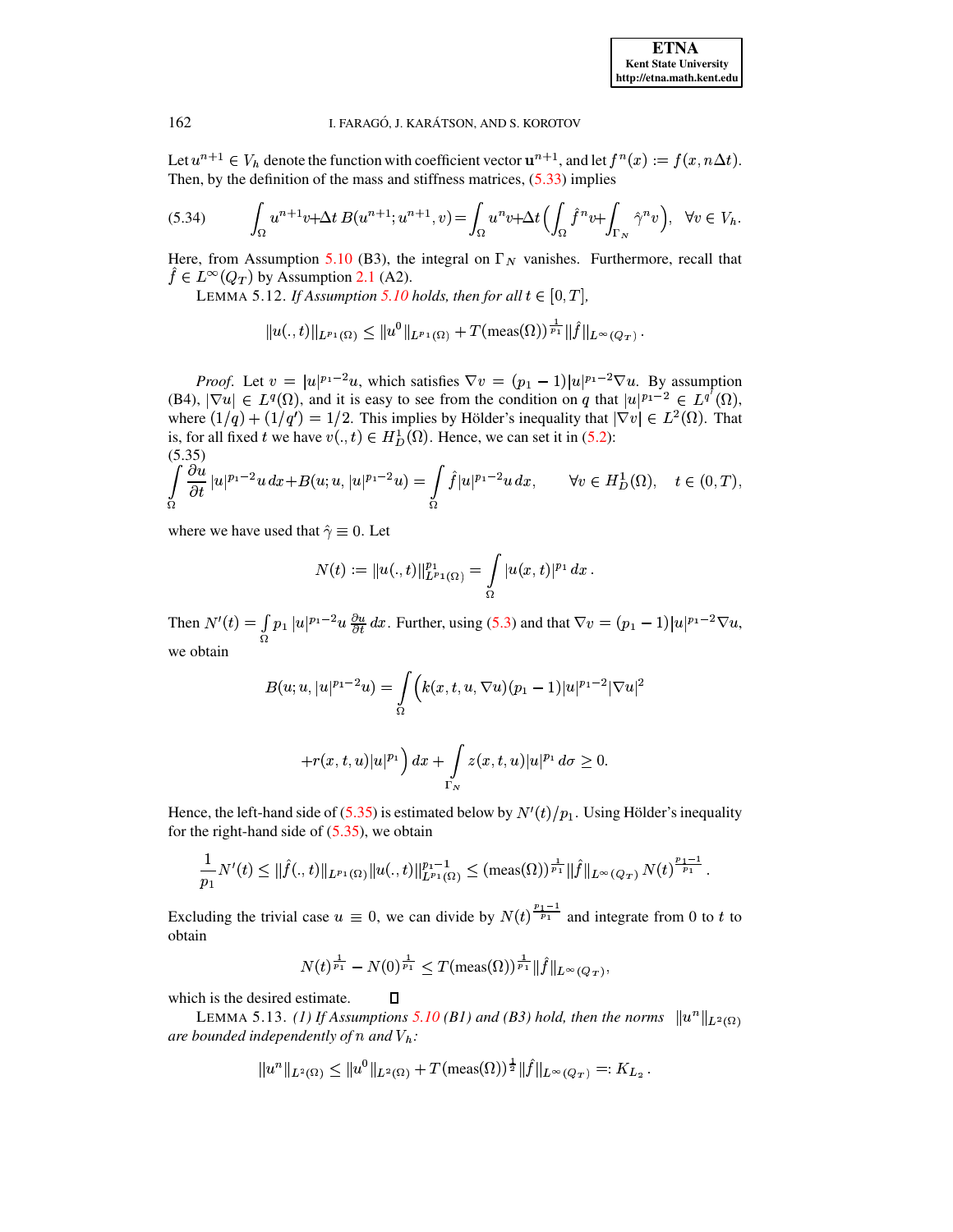Let  $u^{n+1} \in V_h$  denote the function with coefficient vector  $u^{n+1}$ , and let  $f^n(x) := f(x, n\Delta t)$ . Then, by the definition of the mass and stiffness matrices,  $(5.33)$  implies

$$
(5.34) \qquad \int_{\Omega} u^{n+1}v + \Delta t \, B(u^{n+1}; u^{n+1}, v) = \int_{\Omega} u^n v + \Delta t \left( \int_{\Omega} \hat{f}^n v + \int_{\Gamma_N} \hat{\gamma}^n v \right), \quad \forall v \in V_h.
$$

<span id="page-13-2"></span>Here, from Assumption 5.10 (B3), the integral on  $\Gamma_N$  vanishes. Furthermore, recall that  $\hat{f} \in L^{\infty}(Q_T)$  by Assumption 2.1 (A2).

LEMMA 5.12. If Assumption 5.10 holds, then for all  $t \in [0, T]$ ,

<span id="page-13-1"></span>
$$
||u(.,t)||_{L^{p_1}(\Omega)} \leq ||u^0||_{L^{p_1}(\Omega)} + T(\operatorname{meas}(\Omega))^{\frac{1}{p_1}} ||\hat{f}||_{L^{\infty}(Q_T)}.
$$

*Proof.* Let  $v = |u|^{p_1-2}u$ , which satisfies  $\nabla v = (p_1 - 1)|u|^{p_1-2}\nabla u$ . By assumption (B4),  $|\nabla u| \in L^q(\Omega)$ , and it is easy to see from the condition on q that  $|u|^{p_1-2} \in L^{q'}(\Omega)$ , where  $(1/q) + (1/q') = 1/2$ . This implies by Hölder's inequality that  $|\nabla v| \in L^2(\Omega)$ . That is, for all fixed t we have  $v(.,t) \in H_D^1(\Omega)$ . Hence, we can set it in (5.2):  $(5.35)$ 

$$
\int_{\Omega} \frac{\partial u}{\partial t} |u|^{p_1-2} u \, dx + B(u; u, |u|^{p_1-2} u) = \int_{\Omega} \hat{f} |u|^{p_1-2} u \, dx, \qquad \forall v \in H_D^1(\Omega), \quad t \in (0, T),
$$

where we have used that  $\hat{\gamma} \equiv 0$ . Let

<span id="page-13-0"></span>
$$
N(t):=\|u(.,t)\|_{L^{p_1}(\Omega)}^{p_1}=\int\limits_{\Omega}|u(x,t)|^{p_1}\,dx
$$

Then  $N'(t) = \int_{\Omega} p_1 |u|^{p_1-2} u \frac{\partial u}{\partial t} dx$ . Further, using (5.3) and that  $\nabla v = (p_1 - 1)|u|^{p_1-2} \nabla u$ , we obtain

$$
B(u;u,|u|^{p_1-2}u)=\int_{\Omega}\Bigl(k(x,t,u,\nabla u)(p_1-1)|u|^{p_1-2}|\nabla u|^2
$$

$$
+r(x,t,u)|u|^{p_1}\Big)\,dx+\int\limits_{\Gamma_N}z(x,t,u)|u|^{p_1}\,d\sigma\geq 0.
$$

Hence, the left-hand side of (5.35) is estimated below by  $N'(t)/p_1$ . Using Hölder's inequality for the right-hand side of  $(5.35)$ , we obtain

$$
\frac{1}{p_1}N'(t) \leq \|\hat{f}(.,t)\|_{L^{p_1}(\Omega)}\|u(.,t)\|_{L^{p_1}(\Omega)}^{p_1-1} \leq (\text{meas}(\Omega))^{\frac{1}{p_1}}\|\hat{f}\|_{L^{\infty}(Q_T)} N(t)^{\frac{p_1-1}{p_1}}.
$$

Excluding the trivial case  $u \equiv 0$ , we can divide by  $N(t)^{\frac{p_1-1}{p_1}}$  and integrate from 0 to t to obtain

$$
N(t)^{\frac{1}{p_1}} - N(0)^{\frac{1}{p_1}} \leq T(\operatorname{meas}(\Omega))^{\frac{1}{p_1}} \|\hat{f}\|_{L^{\infty}(Q_T)}
$$

<span id="page-13-3"></span>which is the desired estimate.

LEMMA 5.13. (1) If Assumptions 5.10 (B1) and (B3) hold, then the norms  $||u^n||_{L^2(\Omega)}$ are bounded independently of n and  $V_h$ :

 $\Box$ 

$$
||u^n||_{L^2(\Omega)} \le ||u^0||_{L^2(\Omega)} + T(\operatorname{meas}(\Omega))^{\frac{1}{2}} ||f||_{L^{\infty}(Q_T)} =: K_{L_2}.
$$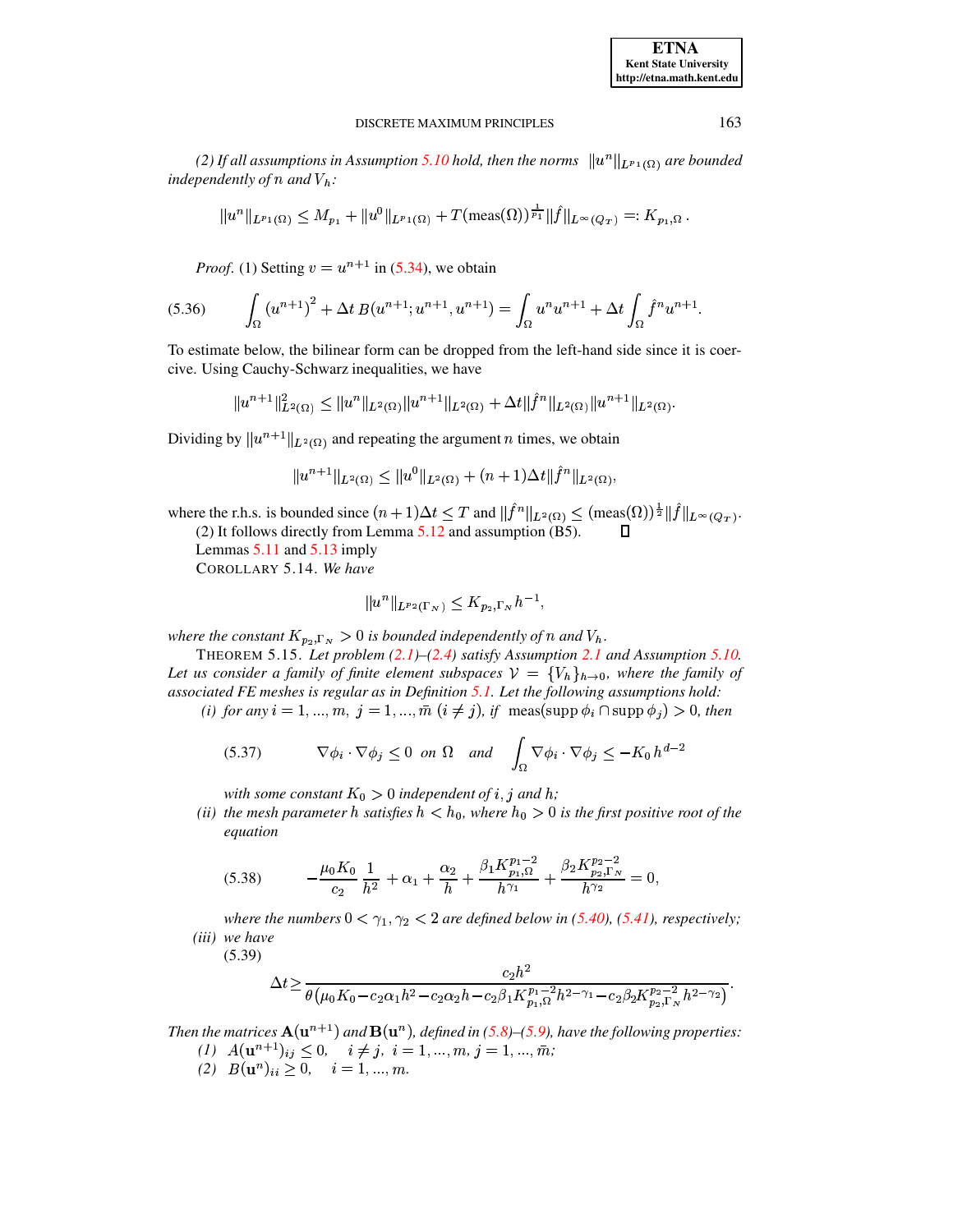*(2)* If all assumptions in Assumption [5.10](#page-12-2) hold, then the norms  $\|u^n\|_{L^{p_1}(\Omega)}$  are bounded independently of  $n$  and  $V_h$ :

$$
||u^n||_{L^{p_1}(\Omega)} \leq M_{p_1} + ||u^0||_{L^{p_1}(\Omega)} + T(\operatorname{meas}(\Omega))^{\frac{1}{p_1}} ||\hat{f}||_{L^{\infty}(Q_T)} =: K_{p_1,\Omega}.
$$

*Proof.* (1) Setting  $v = u^{n+1}$  in [\(5.34\)](#page-13-1), we obtain

$$
(5.36) \qquad \int_{\Omega} \left( u^{n+1} \right)^2 + \Delta t \, B(u^{n+1}; u^{n+1}, u^{n+1}) = \int_{\Omega} u^n u^{n+1} + \Delta t \int_{\Omega} \hat{f}^n u^{n+1}.
$$

To estimate below, the bilinear form can be dropped from the left-hand side since it is coercive. Using Cauchy-Schwarz inequalities, we have

$$
||u^{n+1}||_{L^{2}(\Omega)}^{2} \leq ||u^{n}||_{L^{2}(\Omega)}||u^{n+1}||_{L^{2}(\Omega)} + \Delta t ||\hat{f}^{n}||_{L^{2}(\Omega)}||u^{n+1}||_{L^{2}(\Omega)}.
$$

Dividing by  $||u^{n+1}||_{L^2(\Omega)}$  and repeating the argument *n* times, we obtain

$$
||u^{n+1}||_{L^2(\Omega)} \leq ||u^0||_{L^2(\Omega)} + (n+1)\Delta t||\hat{f}^n||_{L^2(\Omega)},
$$

<span id="page-14-0"></span>where the r.h.s. is bounded since  $(n+1)\Delta t \leq T$  and  $\|\hat{f}^n\|_{L^2(\Omega)} \leq (\text{meas}(\Omega))^{\frac{1}{2}} \|\hat{f}\|_{L^{\infty}(Q_T)}$ .

(2) It follows directly from Lemma  $5.12$  and assumption (B5).

Lemmas [5.11](#page-12-3) and [5.13](#page-13-3) imply

COROLLARY 5.14. *We have*

<span id="page-14-4"></span>
$$
||u^n||_{L^{p_2}(\Gamma_N)}\le K_{p_2,\Gamma_N}h^{-1},
$$

<span id="page-14-3"></span>where the constant  $K_{p_2,\Gamma_N} > 0$  is bounded independently of n and  $V_h$ .<br>
THEOREM 5.15 *Let problem* (2.1)–(2.4) satisfy Assumption 2.1 and Ass

THEOREM 5.15. *Let problem [\(2.1\)](#page-1-0)–[\(2.4\)](#page-1-1) satisfy Assumption [2.1](#page-1-4) and Assumption [5.10.](#page-12-2) Let us* consider a family of finite element subspaces  $V = \{V_h\}_{h\to 0}$ , where the family of *associated FE meshes is regular as in Definition [5.1.](#page-8-3) Let the following assumptions hold:*

*(i) for any*  $i = 1, ..., m$ ,  $j = 1, ..., \overline{m}$   $(i \neq j)$ , *if* meas(supp  $\phi_i \cap \text{supp } \phi_j$ ) > 0, then

$$
(5.37) \qquad \nabla \phi_i \cdot \nabla \phi_j \le 0 \text{ on } \Omega \quad \text{and} \quad \int_{\Omega} \nabla \phi_i \cdot \nabla \phi_j \le -K_0 \, h^{d-2}
$$

with some constant  $K_0 > 0$  independent of  $i, j$  and  $h$ ;

<span id="page-14-1"></span>*(ii)* the mesh parameter h satisfies  $h < h_0$ , where  $h_0 > 0$  is the first positive root of the *equation*

$$
(5.38) \qquad -\frac{\mu_0 K_0}{c_2} \frac{1}{h^2} + \alpha_1 + \frac{\alpha_2}{h} + \frac{\beta_1 K_{p_1, \Omega}^{p_1 - 2}}{h^{\gamma_1}} + \frac{\beta_2 K_{p_2, \Gamma_N}^{p_2 - 2}}{h^{\gamma_2}} = 0,
$$

<span id="page-14-2"></span>where the numbers  $0 < \gamma_1, \gamma_2 < 2$  are defined below in [\(5.40\)](#page-15-0), [\(5.41\)](#page-15-1), respectively; *(iii) we have*

(5.39)

$$
\Delta t \geq \frac{c_2 h^2}{\theta \left(\mu_0 K_0 - c_2 \alpha_1 h^2 - c_2 \alpha_2 h - c_2 \beta_1 K_{p_1,\Omega}^{p_1-2} h^{2-\gamma_1} - c_2 \beta_2 K_{p_2,\Gamma_N}^{p_2-2} h^{2-\gamma_2}\right)}.
$$

*Then the matrices*  $\mathbf{A}(\mathbf{u}^{n+1})$  *and*  $\mathbf{B}(\mathbf{u}^n)$ *, defined in* [\(5.8\)](#page-7-1)–[\(5.9\)](#page-7-6)*, have the following properties:* 

- $(i)$   $A(\mathbf{u}^{n+1})_{ij} \leq 0, \quad i \neq j, i = 1, ..., m, j = 1, ..., \overline{m};$
- $(B(\mathbf{u}^n)_{ii} \geq 0, \quad i = 1, ..., m.$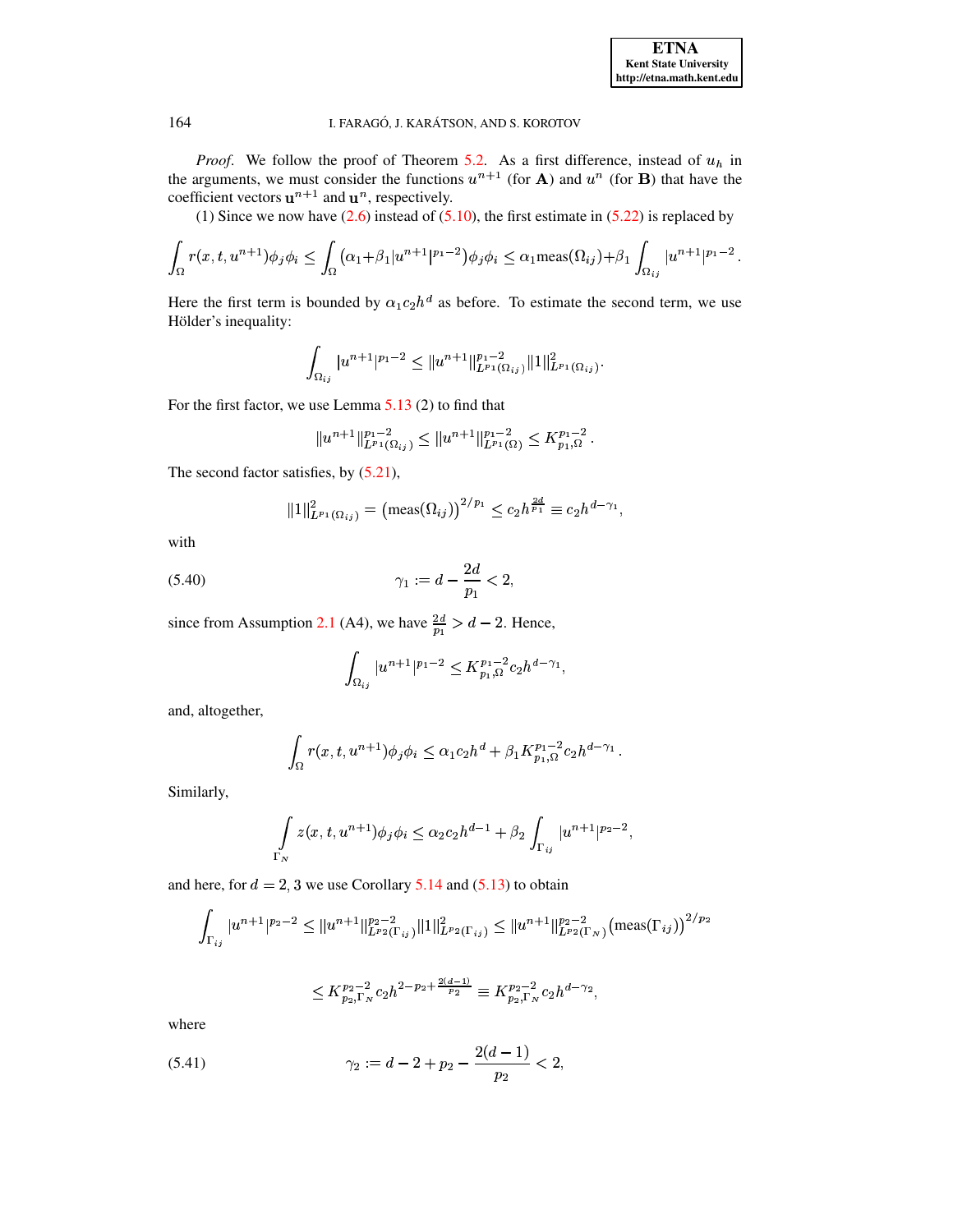*Proof.* We follow the proof of Theorem [5.2.](#page-8-8) As a first difference, instead of  $u_h$  in the arguments, we must consider the functions  $u^{n+1}$  (for **A**) and  $u^n$  (for **B**) that have the coefficient vectors  $\mathbf{u}^{n+1}$  and  $\mathbf{u}^n$ , respectively.

(1) Since we now have  $(2.6)$  instead of  $(5.10)$ , the first estimate in  $(5.22)$  is replaced by

$$
\int_{\Omega} r(x,t,u^{n+1}) \phi_j \phi_i \leq \int_{\Omega} (\alpha_1 + \beta_1 |u^{n+1}|^{p_1-2}) \phi_j \phi_i \leq \alpha_1 \text{meas}(\Omega_{ij}) + \beta_1 \int_{\Omega_{ij}} |u^{n+1}|^{p_1-2}.
$$

Here the first term is bounded by  $\alpha_1 c_2 h^d$  as before. To estimate the second term, we use Hölder's inequality:

$$
\int_{\Omega_{ij}}|u^{n+1}|^{p_1-2}\leq \|u^{n+1}\|_{L^{p_1}(\Omega_{ij})}^{p_1-2}\|1\|_{L^{p_1}(\Omega_{ij})}^2.
$$

For the first factor, we use Lemma  $5.13(2)$  $5.13(2)$  to find that

$$
||u^{n+1}||_{L^{p_1}(\Omega_{ij})}^{p_1-2} \le ||u^{n+1}||_{L^{p_1}(\Omega)}^{p_1-2} \le K_{p_1,\Omega}^{p_1-2}.
$$

The second factor satisfies, by  $(5.21)$ ,

$$
||1||_{L^{p_1}(\Omega_{ij})}^2 = \left(\text{meas}(\Omega_{ij})\right)^{2/p_1} \le c_2 h^{\frac{2d}{p_1}} \equiv c_2 h^{d-\gamma_1},
$$

<span id="page-15-0"></span>with

$$
(5.40) \t\t\t \gamma_1 := d - \frac{2d}{p_1} < 2,
$$

since from Assumption [2.1](#page-1-4) (A4), we have  $\frac{2d}{n} > d - 2$ . Hence,

$$
\int_{\Omega_{ij}} |u^{n+1}|^{p_1-2} \leq K_{p_1,\Omega}^{p_1-2} c_2 h^{d-\gamma_1},
$$

and, altogether,

$$
\int_{\Omega} r(x, t, u^{n+1}) \phi_j \phi_i \leq \alpha_1 c_2 h^d + \beta_1 K_{p_1, \Omega}^{p_1 - 2} c_2 h^{d - \gamma_1}.
$$

Similarly,

$$
\int_{\Gamma_N} z(x, t, u^{n+1}) \phi_j \phi_i \leq \alpha_2 c_2 h^{d-1} + \beta_2 \int_{\Gamma_{ij}} |u^{n+1}|^{p_2 - 2},
$$

and here, for  $d = 2, 3$  we use Corollary [5.14](#page-14-0) and [\(5.13\)](#page-8-4) to obtain

$$
\int_{\Gamma_{ij}} |u^{n+1}|^{p_2-2} \le ||u^{n+1}||_{L^{p_2}(\Gamma_{ij})}^{p_2-2} ||1||_{L^{p_2}(\Gamma_{ij})}^2 \le ||u^{n+1}||_{L^{p_2}(\Gamma_N)}^{p_2-2} (\text{meas}(\Gamma_{ij}))^{2/p_2}
$$

$$
\leq K_{p_2,\Gamma_N}^{p_2-2}c_2h^{2-p_2+\frac{2(d-1)}{p_2}} \equiv K_{p_2,\Gamma_N}^{p_2-2}c_2h^{d-\gamma_2},
$$

<span id="page-15-1"></span>where

$$
(5.41) \t\t\t\t\t\t\gamma_2:=d-2+p_2-\frac{2(d-1)}{p_2}<2,
$$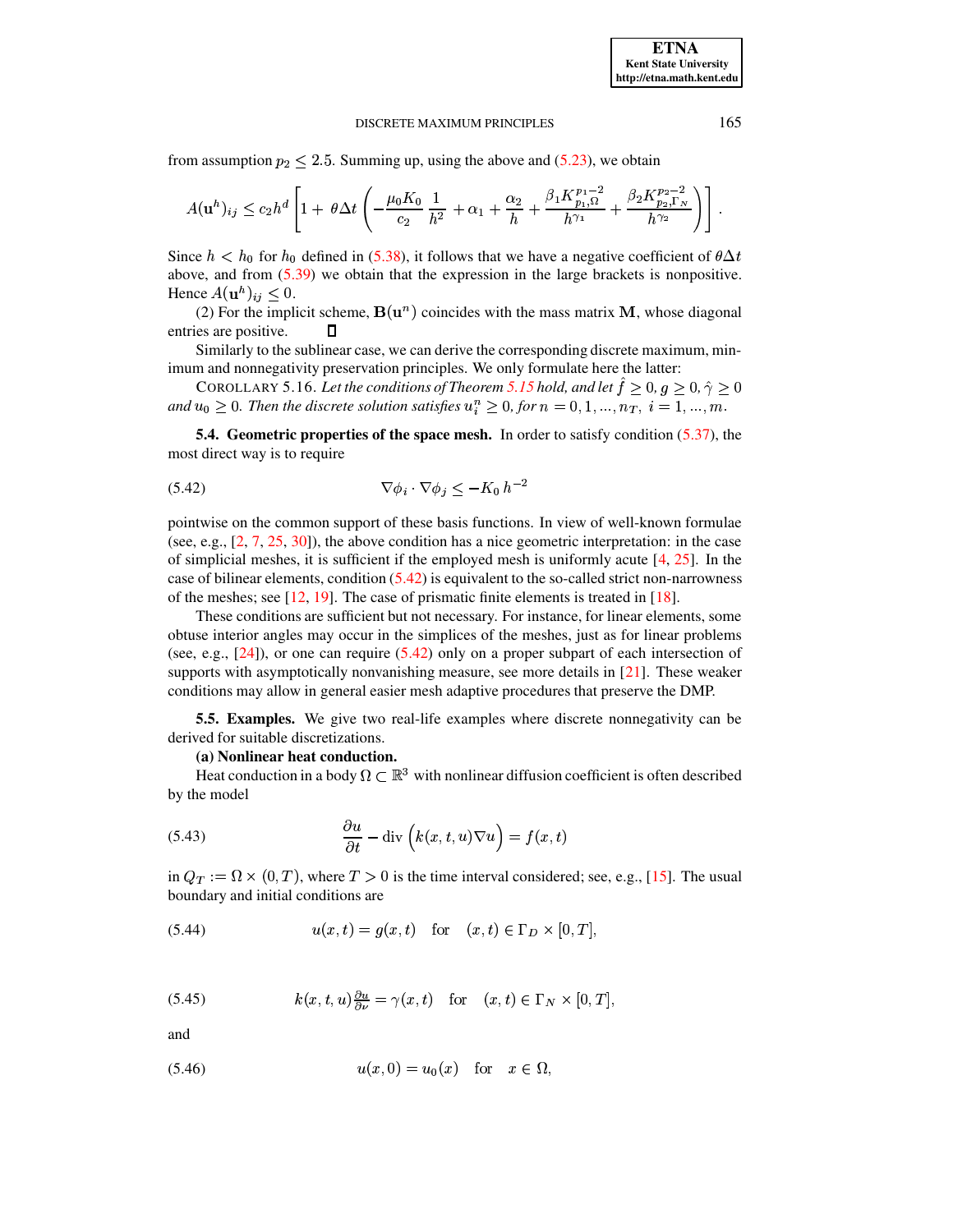from assumption  $p_2 \leq 2.5$ . Summing up, using the above and [\(5.23\)](#page-9-6), we obtain

$$
A(\mathbf{u}^h)_{ij} \leq c_2 h^d \left[ 1 + \theta \Delta t \left( -\frac{\mu_0 K_0}{c_2} \frac{1}{h^2} + \alpha_1 + \frac{\alpha_2}{h} + \frac{\beta_1 K_{p_1, \Omega}^{p_1 - 2}}{h^{\gamma_1}} + \frac{\beta_2 K_{p_2, \Gamma_N}^{p_2 - 2}}{h^{\gamma_2}} \right) \right].
$$

Since  $h < h_0$  for  $h_0$  defined in [\(5.38\)](#page-14-1), it follows that we have a negative coefficient of  $\theta \Delta t$ above, and from  $(5.39)$  we obtain that the expression in the large brackets is nonpositive. Hence  $A(\mathbf{u}^h)_{ij} \leq 0$ .

(2) For the implicit scheme,  $\mathbf{B}(\mathbf{u}^n)$  coincides with the mass matrix **M**, whose diagonal entries are positive. П

<span id="page-16-2"></span>Similarly to the sublinear case, we can derive the corresponding discrete maximum, minimum and nonnegativity preservation principles. We only formulate here the latter:

COROLLARY 5.16. Let the conditions of Theorem [5.15](#page-14-3) hold, and let  $\hat{f} \geq 0$ ,  $g \geq 0$ ,  $\hat{\gamma} \geq 0$ and  $u_0 \geq 0$ . Then the discrete solution satisfies  $u_i^n \geq 0$ , for  $n = 0, 1, ..., n_T$ ,  $i = 1, ..., m$ .

<span id="page-16-1"></span><span id="page-16-0"></span>**5.4. Geometric properties of the space mesh.** In order to satisfy condition [\(5.37\)](#page-14-4), the most direct way is to require

$$
\nabla \phi_i \cdot \nabla \phi_j \le -K_0 \, h^{-2}
$$

pointwise on the common support of these basis functions. In view of well-known formulae (see, e.g., [\[2,](#page-17-2) [7,](#page-18-4) [25,](#page-18-12) [30\]](#page-18-14)), the above condition has a nice geometric interpretation: in the case of simplicial meshes, it is sufficient if the employed mesh is uniformly acute  $[4, 25]$  $[4, 25]$  $[4, 25]$ . In the case of bilinear elements, condition [\(5.42\)](#page-16-1) is equivalent to the so-called strict non-narrowness of the meshes; see [\[12,](#page-18-7) [19\]](#page-18-9). The case of prismatic finite elements is treated in [\[18\]](#page-18-8).

These conditions are sufficient but not necessary. For instance, for linear elements, some obtuse interior angles may occur in the simplices of the meshes, just as for linear problems (see, e.g.,  $[24]$ ), or one can require [\(5.42\)](#page-16-1) only on a proper subpart of each intersection of supports with asymptotically nonvanishing measure, see more details in [\[21\]](#page-18-20). These weaker conditions may allow in general easier mesh adaptive procedures that preserve the DMP.

**5.5. Examples.** We give two real-life examples where discrete nonnegativity can be derived for suitable discretizations.

# **(a) Nonlinear heat conduction.**

<span id="page-16-3"></span>Heat conduction in a body  $\Omega \subset \mathbb{R}^3$  with nonlinear diffusion coefficient is often described by the model

(5.43) 
$$
\frac{\partial u}{\partial t} - \text{div}\left(k(x, t, u)\nabla u\right) = f(x, t)
$$

in  $Q_T := \Omega \times (0,T)$ , where  $T > 0$  is the time interval considered; see, e.g., [\[15\]](#page-18-21). The usual boundary and initial conditions are

$$
(5.44) \t\t u(x,t) = g(x,t) \tfor (x,t) \in \Gamma_D \times [0,T],
$$

(5.45) 
$$
k(x, t, u) \frac{\partial u}{\partial \nu} = \gamma(x, t) \quad \text{for} \quad (x, t) \in \Gamma_N \times [0, T],
$$

<span id="page-16-4"></span>and

(5.46) 
$$
u(x, 0) = u_0(x)
$$
 for  $x \in \Omega$ ,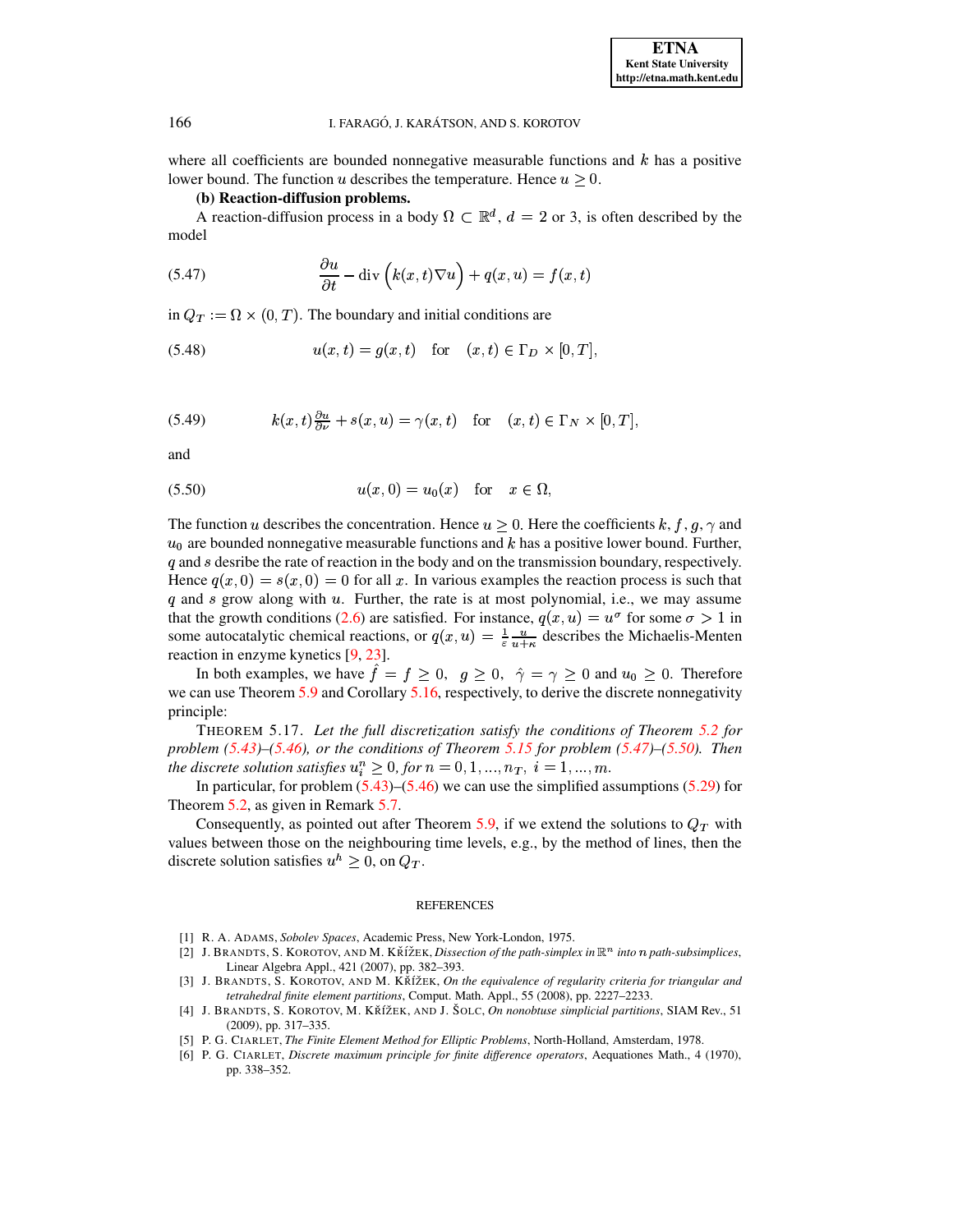where all coefficients are bounded nonnegative measurable functions and  $k$  has a positive lower bound. The function u describes the temperature. Hence  $u \geq 0$ .

**(b) Reaction-diffusion problems.**

<span id="page-17-6"></span>A reaction-diffusion process in a body  $\Omega \subset \mathbb{R}^d$ ,  $d = 2$  or 3, is often described by the model

(5.47) 
$$
\frac{\partial u}{\partial t} - \text{div}\left(k(x,t)\nabla u\right) + q(x,u) = f(x,t)
$$

in  $Q_T := \Omega \times (0,T)$ . The boundary and initial conditions are

$$
(5.48) \t u(x,t) = g(x,t) \t for (x,t) \in \Gamma_D \times [0,T],
$$

(5.49) 
$$
k(x,t)\frac{\partial u}{\partial \nu} + s(x,u) = \gamma(x,t) \text{ for } (x,t) \in \Gamma_N \times [0,T],
$$

<span id="page-17-7"></span>and

(5.50) 
$$
u(x, 0) = u_0(x)
$$
 for  $x \in \Omega$ ,

The function u describes the concentration. Hence  $u \geq 0$ . Here the coefficients  $k, f, g, \gamma$  and  $u_0$  are bounded nonnegative measurable functions and  $k$  has a positive lower bound. Further,  $q$  and  $s$  desribe the rate of reaction in the body and on the transmission boundary, respectively. Hence  $q(x, 0) = s(x, 0) = 0$  for all x. In various examples the reaction process is such that  $q$  and  $s$  grow along with  $u$ . Further, the rate is at most polynomial, i.e., we may assume that the growth conditions [\(2.6\)](#page-1-6) are satisfied. For instance,  $q(x, u) = u^{\sigma}$  for some  $\sigma > 1$  in some autocatalytic chemical reactions, or  $q(x, u) = \frac{1}{\varepsilon} \frac{u}{u + \kappa}$  describes the Michaelis-Menten reaction in enzyme kynetics [\[9,](#page-18-22) [23\]](#page-18-23).

In both examples, we have  $\hat{f} = f \ge 0$ ,  $g \ge 0$ ,  $\hat{\gamma} = \gamma \ge 0$  and  $u_0 \ge 0$ . Therefore we can use Theorem [5.9](#page-11-2) and Corollary [5.16,](#page-16-2) respectively, to derive the discrete nonnegativity principle:

THEOREM 5.17. *Let the full discretization satisfy the conditions of Theorem [5.2](#page-8-8) for problem [\(5.43\)](#page-16-3)–[\(5.46\)](#page-16-4), or the conditions of Theorem [5.15](#page-14-3) for problem [\(5.47\)](#page-17-6)–[\(5.50\)](#page-17-7). Then the discrete solution satisfies*  $u_i^n \geq 0$ , *for*  $n = 0, 1, ..., n_T$ ,  $i = 1, ..., m$ .

In particular, for problem  $(5.43)$ – $(5.46)$  we can use the simplified assumptions  $(5.29)$  for Theorem [5.2,](#page-8-8) as given in Remark [5.7.](#page-11-4)

Consequently, as pointed out after Theorem [5.9,](#page-11-2) if we extend the solutions to  $Q_T$  with values between those on the neighbouring time levels, e.g., by the method of lines, then the discrete solution satisfies  $u^h \geq 0$ , on  $Q_T$ .

#### REFERENCES

- <span id="page-17-4"></span><span id="page-17-2"></span>[1] R. A. ADAMS, *Sobolev Spaces*, Academic Press, New York-London, 1975.
- [2] J. BRANDTS, S. KOROTOV, AND M. KŘÍŽEK, *Dissection of the path-simplex in*  $\mathbb{R}^n$  *into*  $n$  *path-subsimplices*, Linear Algebra Appl., 421 (2007), pp. 382–393.
- <span id="page-17-1"></span>[3] J. BRANDTS, S. KOROTOV, AND M. KRˇ´IZˇ EK, *On the equivalence of regularity criteria for triangular and tetrahedral finite element partitions*, Comput. Math. Appl., 55 (2008), pp. 2227–2233.
- <span id="page-17-5"></span>[4] J. BRANDTS, S. KOROTOV, M. KRˇ´IZˇ EK, AND J. Sˇ OLC, *On nonobtuse simplicial partitions*, SIAM Rev., 51 (2009), pp. 317–335.
- <span id="page-17-3"></span><span id="page-17-0"></span>[5] P. G. CIARLET, *The Finite Element Method for Elliptic Problems*, North-Holland, Amsterdam, 1978.
- [6] P. G. CIARLET, *Discrete maximum principle for finite difference operators*, Aequationes Math., 4 (1970), pp. 338–352.